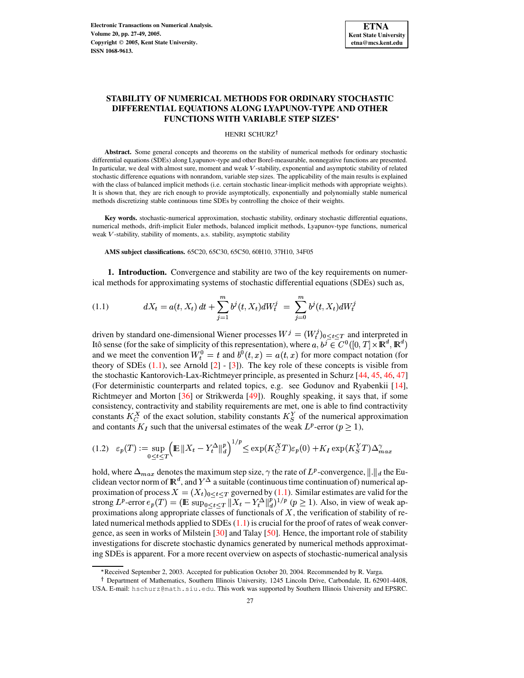# **STABILITY OF NUMERICAL METHODS FOR ORDINARY STOCHASTIC DIFFERENTIAL EQUATIONS ALONG LYAPUNOV-TYPE AND OTHER FUNCTIONS WITH VARIABLE STEP SIZES**

### HENRI SCHURZ<sup>†</sup>

**Abstract.** Some general concepts and theorems on the stability of numerical methods for ordinary stochastic differential equations (SDEs) along Lyapunov-type and other Borel-measurable, nonnegative functions are presented. In particular, we deal with almost sure, moment and weak  $V$ -stability, exponential and asymptotic stability of related stochastic difference equations with nonrandom, variable step sizes. The applicability of the main results is explained with the class of balanced implicit methods (i.e. certain stochastic linear-implicit methods with appropriate weights). It is shown that, they are rich enough to provide asymptotically, exponentially and polynomially stable numerical methods discretizing stable continuous time SDEs by controlling the choice of their weights.

**Key words.** stochastic-numerical approximation, stochastic stability, ordinary stochastic differential equations, numerical methods, drift-implicit Euler methods, balanced implicit methods, Lyapunov-type functions, numerical weak V-stability, stability of moments, a.s. stability, asymptotic stability

**AMS subject classifications.** 65C20, 65C30, 65C50, 60H10, 37H10, 34F05

**1. Introduction.** Convergence and stability are two of the key requirements on numerical methods for approximating systems of stochastic differential equations (SDEs) such as,

<span id="page-0-0"></span>(1.1) 
$$
dX_t = a(t, X_t) dt + \sum_{j=1}^m b^j(t, X_t) dW_t^j = \sum_{j=0}^m b^j(t, X_t) dW_t^j
$$

driven by standard one-dimensional Wiener processes  $W^j = (W_t^j)_{0 \le t \le T}$  and interpreted in Itô sense (for the sake of simplicity of this representation), where  $a, b^j \in C^0([0, T] \times \mathbb{R}^d, \mathbb{R}^d)$ and we meet the convention  $W_t^0 = t$  and  $b^0(t, x) = a(t, x)$  for more compact notation (for theory of SDEs  $(1.1)$ , see Arnold  $[2] - [3]$  $[2] - [3]$  $[2] - [3]$ . The key role of these concepts is visible from the stochastic Kantorovich-Lax-Richtmeyer principle, as presented in Schurz [\[44,](#page-22-0) [45,](#page-22-1) [46,](#page-22-2) [47\]](#page-22-3) (For deterministic counterparts and related topics, e.g. see Godunov and Ryabenkii [\[14\]](#page-21-2), Richtmeyer and Morton [\[36\]](#page-22-4) or Strikwerda [\[49\]](#page-22-5)). Roughly speaking, it says that, if some consistency, contractivity and stability requirements are met, one is able to find contractivity constants  $K_C^X$  of the exact solution, stability constants  $K_S^Y$  of the numerical approximation and contants  $K_I$  such that the universal estimates of the weak  $L^p$ -error ( $p \geq 1$ ),

$$
(1.2) \quad \varepsilon_p(T) := \sup_{0 \le t \le T} \left( \mathbb{E} \left\| X_t - Y_t^{\Delta} \right\|_d^p \right)^{1/p} \le \exp(K_C^X T) \varepsilon_p(0) + K_I \exp(K_S^Y T) \Delta_{max}^{\gamma}
$$

hold, where  $\Delta_{max}$  denotes the maximum step size,  $\gamma$  the rate of  $L^p$ -convergence,  $\|.\|_d$  the Euclidean vector norm of  $\mathbb{R}^a$ , and  $Y^{\Delta}$  a suitable (continuous time continuation of) numerical approximation of process  $X = (X_t)_{0 \le t \le T}$  governed by [\(1.1\)](#page-0-0). Similar estimates are valid for the strong  $L^p$ -error  $e_p(T) = (\mathbb{E} \sup_{0 \le t \le T} ||X_t - Y_t^{\Delta}||_d^p)^{1/p}$   $(p \ge 1)$ . Also, in view of weak approximations along appropriate classes of functionals of  $X$ , the verification of stability of related numerical methods applied to SDEs  $(1.1)$  is crucial for the proof of rates of weak convergence, as seen in works of Milstein [\[30\]](#page-22-6) and Talay [\[50\]](#page-22-7). Hence, the important role of stability investigations for discrete stochastic dynamics generated by numerical methods approximating SDEs is apparent. For a more recent overview on aspects of stochastic-numerical analysis

<sup>w</sup> Received September 2, 2003. Accepted for publication October 20, 2004. Recommended by R. Varga.

<sup>&</sup>lt;sup>†</sup> Department of Mathematics, Southern Illinois University, 1245 Lincoln Drive, Carbondale, IL 62901-4408, USA. E-mail: hschurz@math.siu.edu. This work was supported by Southern Illinois University and EPSRC.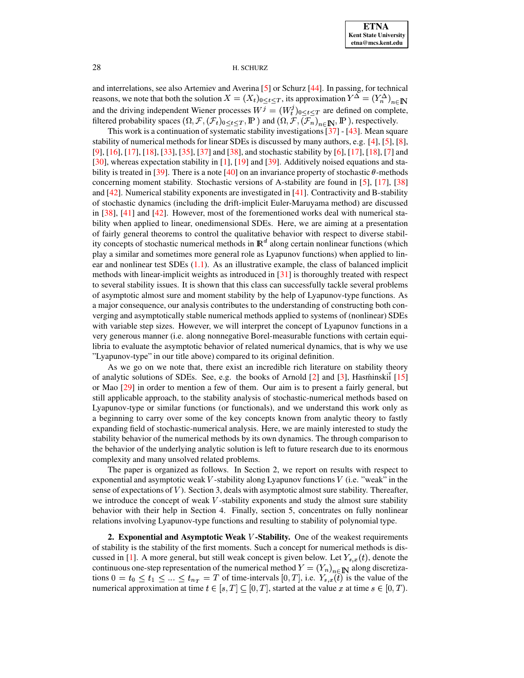and interrelations, see also Artemiev and Averina [\[5\]](#page-21-3) or Schurz [\[44\]](#page-22-0). In passing, for technical reasons, we note that both the solution  $X = (X_t)_{0 \le t \le T}$ , its approximation  $Y^{\Delta} = (Y_n^{\Delta})_{n \in \mathbb{N}}$ and the driving independent Wiener processes  $W^j = (W_t^j)_{0 \le t \le T}$  are defined on complete, filtered probability spaces  $(\Omega, \mathcal{F}, (\mathcal{F}_t)_{0 \le t \le T}, \mathbb{P})$  and  $(\Omega, \mathcal{F}, (\mathcal{F}_n)_{n \in \mathbb{N}}, \mathbb{P})$ , respectively.

This work is a continuation of systematic stability investigations[\[37\]](#page-22-8) - [\[43\]](#page-22-9). Mean square stability of numerical methods for linear SDEs is discussed by many authors, e.g. [\[4\]](#page-21-4), [\[5\]](#page-21-3), [\[8\]](#page-21-5), [\[9\]](#page-21-6), [\[16\]](#page-21-7), [\[17\]](#page-21-8), [\[18\]](#page-21-9), [\[33\]](#page-22-10), [\[35\]](#page-22-11), [\[37\]](#page-22-8) and [\[38\]](#page-22-12), and stochastic stability by [\[6\]](#page-21-10), [\[17\]](#page-21-8), [\[18\]](#page-21-9), [\[7\]](#page-21-11) and [\[30\]](#page-22-6), whereas expectation stability in [\[1\]](#page-21-12), [\[19\]](#page-21-13) and [\[39\]](#page-22-13). Additively noised equations and sta-bility is treated in [\[39\]](#page-22-13). There is a note [\[40\]](#page-22-14) on an invariance property of stochastic  $\theta$ -methods concerning moment stability. Stochastic versions of A-stability are found in [\[5\]](#page-21-3), [\[17\]](#page-21-8), [\[38\]](#page-22-12) and [\[42\]](#page-22-15). Numerical stability exponents are investigated in [\[41\]](#page-22-16). Contractivity and B-stability of stochastic dynamics (including the drift-implicit Euler-Maruyama method) are discussed in  $[38]$ ,  $[41]$  and  $[42]$ . However, most of the forementioned works deal with numerical stability when applied to linear, onedimensional SDEs. Here, we are aiming at a presentation of fairly general theorems to control the qualitative behavior with respect to diverse stability concepts of stochastic numerical methods in  $\mathbb{R}^d$  along certain nonlinear functions (which play a similar and sometimes more general role as Lyapunov functions) when applied to linear and nonlinear test SDEs [\(1.1\)](#page-0-0). As an illustrative example, the class of balanced implicit methods with linear-implicit weights as introduced in  $\lceil 31 \rceil$  is thoroughly treated with respect to several stability issues. It is shown that this class can successfully tackle several problems of asymptotic almost sure and moment stability by the help of Lyapunov-type functions. As a major consequence, our analysis contributes to the understanding of constructing both converging and asymptotically stable numerical methods applied to systems of (nonlinear) SDEs with variable step sizes. However, we will interpret the concept of Lyapunov functions in a very generous manner (i.e. along nonnegative Borel-measurable functions with certain equilibria to evaluate the asymptotic behavior of related numerical dynamics, that is why we use "Lyapunov-type" in our title above) compared to its original definition.

As we go on we note that, there exist an incredible rich literature on stability theory of analytic solutions of SDEs. See, e.g. the books of Arnold [\[2\]](#page-21-0) and [\[3\]](#page-21-1), Hasminskii [\[15\]](#page-21-14) or Mao [\[29\]](#page-21-15) in order to mention a few of them. Our aim is to present a fairly general, but still applicable approach, to the stability analysis of stochastic-numerical methods based on Lyapunov-type or similar functions (or functionals), and we understand this work only as a beginning to carry over some of the key concepts known from analytic theory to fastly expanding field of stochastic-numerical analysis. Here, we are mainly interested to study the stability behavior of the numerical methods by its own dynamics. The through comparison to the behavior of the underlying analytic solution is left to future research due to its enormous complexity and many unsolved related problems.

The paper is organized as follows. In Section 2, we report on results with respect to exponential and asymptotic weak  $V$ -stability along Lyapunov functions  $V$  (i.e. "weak" in the sense of expectations of  $V$ ). Section 3, deals with asymptotic almost sure stability. Thereafter, we introduce the concept of weak  $V$ -stability exponents and study the almost sure stability behavior with their help in Section 4. Finally, section 5, concentrates on fully nonlinear relations involving Lyapunov-type functions and resulting to stability of polynomial type.

**2. Exponential and Asymptotic Weak** V-Stability. One of the weakest requirements of stability is the stability of the first moments. Such a concept for numerical methods is dis-cussed in [\[1\]](#page-21-12). A more general, but still weak concept is given below. Let  $Y_{s,x}(t)$ , denote the continuous one-step representation of the numerical method  $Y = (Y_n)_{n \in \mathbb{N}}$  along discretizations  $0 = t_0 \le t_1 \le ... \le t_{n_T} = T$  of time-intervals  $[0, T]$ , i.e.  $Y_{s,x}(t)$  is the value of the numerical approximation at time  $t \in [s, T] \subseteq [0, T]$ , started at the value x at time  $s \in [0, T)$ .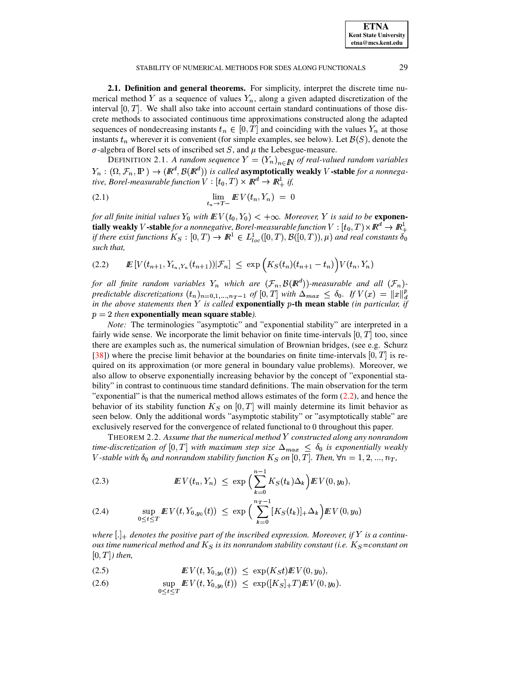**ETNA Kent State University etna@mcs.kent.edu**

### STABILITY OF NUMERICAL METHODS FOR SDES ALONG FUNCTIONALS 29

**2.1. Definition and general theorems.** For simplicity, interpret the discrete time numerical method Y as a sequence of values  $Y_n$ , along a given adapted discretization of the interval  $[0, T]$ . We shall also take into account certain standard continuations of those discrete methods to associated continuous time approximations constructed along the adapted sequences of nondecreasing instants  $t_n \in [0, T]$  and coinciding with the values  $Y_n$  at those instants  $t_n$  wherever it is convenient (for simple examples, see below). Let  $\mathcal{B}(S)$ , denote the  $\sigma$ -algebra of Borel sets of inscribed set S, and  $\mu$  the Lebesgue-measure.

DEFINITION 2.1. A random sequence  $Y = (Y_n)_{n \in \mathbb{N}}$  of real-valued random variables  $Y_n : (\Omega, \mathcal{F}_n, \mathbb{P}) \to (\mathbb{R}^d, \mathcal{B}(\mathbb{R}^d))$  is called **asymptotically weakly** V-stable for a nonnegative, Borel-measurable function  $V:[t_0,T)\times I\!\!R^d\rightarrow I\!\!R^1_+$  if,

$$
\lim_{t_n \to T-} \underline{E} V(t_n, Y_n) = 0
$$

for all finite initial values  $Y_0$  with  $E V(t_0, Y_0) < +\infty$ . Moreover, Y is said to be **exponen-** $\bf{t}$ ially  $\bf{weak}$ ly  $V$  -stable *for a nonnegative, Borel-measurable function*  $V:[t_0,T)\!\times\! \mathbb{R}^d\to\mathbb{R}_+^1$ if there exist functions  $K_S : [0,T) \to \mathbb{R}^1 \in L^1_{loc}([0,T), \mathcal{B}([0,T)), \mu)$  and real constants  $\delta_0$ *such that,*

<span id="page-2-0"></span>*IE* 3 { [- { "9¦ { <sup>6</sup> `§bed<sup>W</sup> X?<sup>E</sup> !{ e!{ Z¨{ ^ { [{ (2.2)

for all finite random variables  $Y_n$  which are  $({\mathcal F}_n, {\mathcal B}(I\!\!R^d))$ -measurable and all  $({\mathcal F}_n)$ *predictable discretizations*  $(t_n)_{n=0,1,\dots,n_T-1}$  of  $[0,T]$  with  $\Delta_{max} \leq \delta_0$ . If  $V(x) = ||x||_d^p$ *in the above statements then* Y *is called* **exponentially** p-th mean stable (*in particular, if*  $p = 2$  *then* **exponentially mean square stable***)*.

*Note:* The terminologies "asymptotic" and "exponential stability" are interpreted in a fairly wide sense. We incorporate the limit behavior on finite time-intervals  $[0, T]$  too, since there are examples such as, the numerical simulation of Brownian bridges, (see e.g. Schurz [\[38\]](#page-22-12)) where the precise limit behavior at the boundaries on finite time-intervals  $[0, T]$  is required on its approximation (or more general in boundary value problems). Moreover, we also allow to observe exponentially increasing behavior by the concept of "exponential stability" in contrast to continuous time standard definitions. The main observation for the term "exponential" is that the numerical method allows estimates of the form  $(2.2)$ , and hence the behavior of its stability function  $K_S$  on  $[0, T]$  will mainly determine its limit behavior as seen below. Only the additional words "asymptotic stability" or "asymptotically stable" are exclusively reserved for the convergence of related functional to 0 throughout this paper.

<span id="page-2-1"></span>THEOREM 2.2. *Assume that the numerical method* [ *constructed along any nonrandom time-discretization of*  $[0, T]$  *with maximum step size*  $\Delta_{max} \leq \delta_0$  *is exponentially weakly*  $V$  -stable with  $\delta_0$  and nonrandom stability function  $K_S$  on  $[0,T]$ . Then,  $\forall n=1,2,...,n_T,$ 

<span id="page-2-2"></span>(2.3) 
$$
\mathbb{E} V(t_n, Y_n) \leq \exp \Big( \sum_{k=0}^{n-1} K_S(t_k) \Delta_k \Big) \mathbb{E} V(0, y_0),
$$

(2.4) 
$$
\sup_{0 \leq t \leq T} E V(t, Y_{0, y_0}(t)) \leq \exp \left( \sum_{k=0}^{n_T - 1} [K_S(t_k)]_+ \Delta_k \right) E V(0, y_0)
$$

where  $[.]_+$  denotes the positive part of the inscribed expression. Moreover, if Y is a continu*ous time numerical method and*  $K_S$  *is its nonrandom stability constant* (*i.e.*  $K_S$ =constant on  $[0, T]$  *then,* 

<span id="page-2-3"></span>(2.5) 
$$
\mathbb{E} V(t, Y_{0,y_0}(t)) \leq \exp(K_S t) \mathbb{E} V(0,y_0),
$$

(2.6) 
$$
\sup_{0 \leq t \leq T} \mathbb{E} V(t, Y_{0, y_0}(t)) \leq \exp([K_S]_+ T) \mathbb{E} V(0, y_0).
$$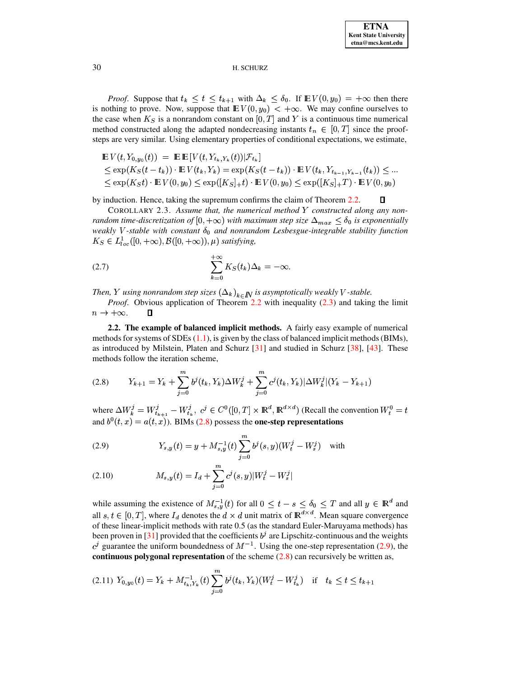*Proof.* Suppose that  $t_k \leq t \leq t_{k+1}$  with  $\Delta_k \leq \delta_0$ . If  $\mathbb{E} V(0, y_0) = +\infty$  then there is nothing to prove. Now, suppose that  $\mathbb{E} V(0, y_0) < +\infty$ . We may confine ourselves to the case when  $K_S$  is a nonrandom constant on [0, T] and Y is a continuous time numerical method constructed along the adapted nondecreasing instants  $t_n \in [0, T]$  since the proofsteps are very similar. Using elementary properties of conditional expectations, we estimate,

$$
\mathbb{E} V(t, Y_{0, y_0}(t)) = \mathbb{E} \mathbb{E} [V(t, Y_{t_k, Y_k}(t)) | \mathcal{F}_{t_k}]
$$
  
\n
$$
\leq \exp(K_S(t - t_k)) \cdot \mathbb{E} V(t_k, Y_k) = \exp(K_S(t - t_k)) \cdot \mathbb{E} V(t_k, Y_{t_{k-1}, Y_{k-1}}(t_k)) \leq ...
$$
  
\n
$$
\leq \exp(K_St) \cdot \mathbb{E} V(0, y_0) \leq \exp([K_S]_+ t) \cdot \mathbb{E} V(0, y_0) \leq \exp([K_S]_+ T) \cdot \mathbb{E} V(0, y_0)
$$

 $\Box$ by induction. Hence, taking the supremum confirms the claim of Theorem [2.2.](#page-2-1)

COROLLARY 2.3. Assume that, the numerical method  $Y$  constructed along any non*random time-discretization of*  $[0, +\infty)$  *with maximum step size*  $\Delta_{max} \leq \delta_0$  *is exponentially weakly V*-stable with constant  $\delta_0$  and nonrandom Lesbesgue-integrable stability function  $K_S \in L^1_{loc}([0,+\infty), \mathcal{B}([0,+\infty)), \mu)$  satisfying,

(2.7) 
$$
\sum_{k=0}^{+\infty} K_S(t_k) \Delta_k = -\infty.
$$

Then,  $Y$  using nonrandom step sizes  $\left(\Delta_k\right)_{k\in I\!\!N}$  is asymptotically weakly V-stable.

*Proof.* Obvious application of Theorem [2.2](#page-2-1) with inequality [\(2.3\)](#page-2-2) and taking the limit  $n \to +\infty$ . O

**2.2. The example of balanced implicit methods.** A fairly easy example of numerical methods for systems of SDEs  $(1.1)$ , is given by the class of balanced implicit methods (BIMs), as introduced by Milstein, Platen and Schurz [\[31\]](#page-22-17) and studied in Schurz [\[38\]](#page-22-12), [\[43\]](#page-22-9). These methods follow the iteration scheme,

<span id="page-3-0"></span>
$$
(2.8) \tY_{k+1} = Y_k + \sum_{j=0}^{m} b^j(t_k, Y_k) \Delta W_k^j + \sum_{j=0}^{m} c^j(t_k, Y_k) |\Delta W_k^j| (Y_k - Y_{k+1})
$$

where  $\Delta W_k^j = W_{t_{k+1}}^j - W_{t_k}^j$ ,  $c^j \in C^0([0,T] \times \mathbb{R}^d, \mathbb{R}^{d \times d})$  (Recall the convention  $W_t^0 = t$ and  $b^0(t, x) = a(t, x)$ ). BIMs [\(2.8\)](#page-3-0) possess the **one-step representations** 

<span id="page-3-1"></span>(2.9) 
$$
Y_{s,y}(t) = y + M_{s,y}^{-1}(t) \sum_{j=0}^{m} b^{j}(s,y) (W_{t}^{j} - W_{s}^{j}) \text{ with}
$$

(2.10) 
$$
M_{s,y}(t) = I_d + \sum_{j=0}^{m} c^j(s,y) |W_t^j - W_s^j|
$$

while assuming the existence of  $M_{s,u}^{-1}(t)$  for all  $0 \le t - s \le \delta_0 \le T$  and all  $y \in \mathbb{R}^d$  and all  $s, t \in [0, T]$ , where  $I_d$  denotes the  $d \times d$  unit matrix of  $\mathbb{R}^{d \times d}$ . Mean square convergence : of these linear-implicit methods with rate 0.5 (as the standard Euler-Maruyama methods) has been proven in [\[31\]](#page-22-17) provided that the coefficients  $b<sup>j</sup>$  are Lipschitz-continuous and the weights <sup>j</sup> guarantee the uniform boundedness of  $M^{-1}$ . Using the one-step representation [\(2.9\)](#page-3-1), the **continuous polygonal representation** of the scheme [\(2.8\)](#page-3-0) can recursively be written as,

$$
(2.11) \ Y_{0,y_0}(t) = Y_k + M_{t_k,Y_k}^{-1}(t) \sum_{j=0}^{m} b^j(t_k,Y_k)(W_t^j - W_{t_k}^j) \quad \text{if} \quad t_k \le t \le t_{k+1}
$$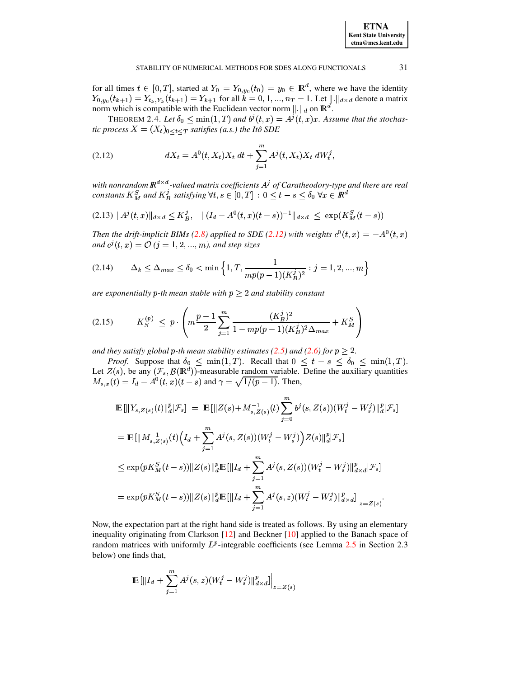for all times  $t \in [0, T]$ , started at  $Y_0 = Y_{0, y_0}(t_0) = y_0 \in \mathbb{R}^d$ , where we have the identity  $Y_{0,y_0}(t_{k+1}) = Y_{t_k,Y_k}(t_{k+1}) = Y_{k+1}$  for all  $k = 0, 1, ..., n_T - 1$ . Let  $\| \cdot \|_{d \times d}$  denote a matrix norm which is compatible with the Euclidean vector norm  $\|\cdot\|_d$  on  $\mathbb{R}^d$ .

THEOREM 2.4. Let  $\delta_0 \leq \min(1,T)$  and  $b^j(t,x) = A^j(t,x)x$ . Assume that the stochastic process  $X = (X_t)_{0 \le t \le T}$  satisfies (a.s.) the Itô SDE

<span id="page-4-0"></span>(2.12) 
$$
dX_t = A^0(t, X_t)X_t dt + \sum_{j=1}^m A^j(t, X_t)X_t dW_t^j,
$$

with nonrandom  $\mathbb{R}^{d \times d}$ -valued matrix coefficients  $A^j$  of Caratheodory-type and there are real constants  $K_M^S$  and  $K_B^j$  satisfying  $\forall t, s \in [0, T] : 0 \le t - s \le \delta_0 \ \forall x \in \mathbb{R}^d$ 

<span id="page-4-2"></span>
$$
(2.13) \|A^{j}(t,x)\|_{d\times d} \leq K_{B}^{j}, \quad \|(I_{d}-A^{0}(t,x)(t-s))^{-1}\|_{d\times d} \leq \exp(K_{M}^{S}(t-s))
$$

Then the drift-implicit BIMs (2.8) applied to SDE (2.12) with weights  $c^0(t, x) = -A^0(t, x)$ and  $c^{j}(t, x) = \mathcal{O}(j = 1, 2, ..., m)$ , and step sizes

$$
(2.14) \qquad \Delta_k \le \Delta_{max} \le \delta_0 < \min\left\{1, T, \frac{1}{mp(p-1)(K_B^j)^2} : j = 1, 2, ..., m\right\}
$$

are exponentially p-th mean stable with  $p \geq 2$  and stability constant

<span id="page-4-1"></span>
$$
(2.15) \tK_S^{(p)} \le p \cdot \left( m \frac{p-1}{2} \sum_{j=1}^m \frac{(K_B^j)^2}{1 - mp(p-1)(K_B^j)^2 \Delta_{max}} + K_M^S \right)
$$

and they satisfy global p-th mean stability estimates (2.5) and (2.6) for  $p \ge 2$ .

*Proof.* Suppose that  $\delta_0 \le \min(1, T)$ . Recall that  $0 \le t - s \le \delta_0 \le \min(1, T)$ . Let  $Z(s)$ , be any  $(\mathcal{F}_s, \mathcal{B}(\mathbb{R}^d))$ -measurable random variable. Define the auxiliary quantities  $M_{s,x}(t) = I_d - A^0(t, x)(t - s)$  and  $\gamma = \sqrt{1/(p-1)}$ . Then,

$$
\mathbb{E} [\|Y_{s,Z(s)}(t)\|_{d}^{p}|\mathcal{F}_{s}] = \mathbb{E} [\|Z(s) + M_{s,Z(s)}^{-1}(t)\sum_{j=0}^{m} b^{j}(s, Z(s))(W_{t}^{j} - W_{s}^{j})\|_{d}^{p}|\mathcal{F}_{s}]
$$
\n
$$
= \mathbb{E} [\|M_{s,Z(s)}^{-1}(t)\Big(I_{d} + \sum_{j=1}^{m} A^{j}(s, Z(s))(W_{t}^{j} - W_{s}^{j})\Big)Z(s)\|_{d}^{p}|\mathcal{F}_{s}]
$$
\n
$$
\leq \exp(pK_{M}^{S}(t-s))\|Z(s)\|_{d}^{p} \mathbb{E} [\|I_{d} + \sum_{j=1}^{m} A^{j}(s, Z(s))(W_{t}^{j} - W_{s}^{j})\|_{d\times d}^{p}|\mathcal{F}_{s}]
$$
\n
$$
= \exp(pK_{M}^{S}(t-s))\|Z(s)\|_{d}^{p} \mathbb{E} [\|I_{d} + \sum_{j=1}^{m} A^{j}(s, z)(W_{t}^{j} - W_{s}^{j})\|_{d\times d}^{p}]_{z=Z(s)}.
$$

Now, the expectation part at the right hand side is treated as follows. By using an elementary inequality originating from Clarkson  $[12]$  and Beckner  $[10]$  applied to the Banach space of random matrices with uniformly  $L^p$ -integrable coefficients (see Lemma 2.5 in Section 2.3 below) one finds that,

$$
\mathbb{E} \left[ \|I_d + \sum_{j=1}^m A^j(s, z)(W_t^j - W_s^j) \|_{d \times d}^p \right]_{z = Z(s)}
$$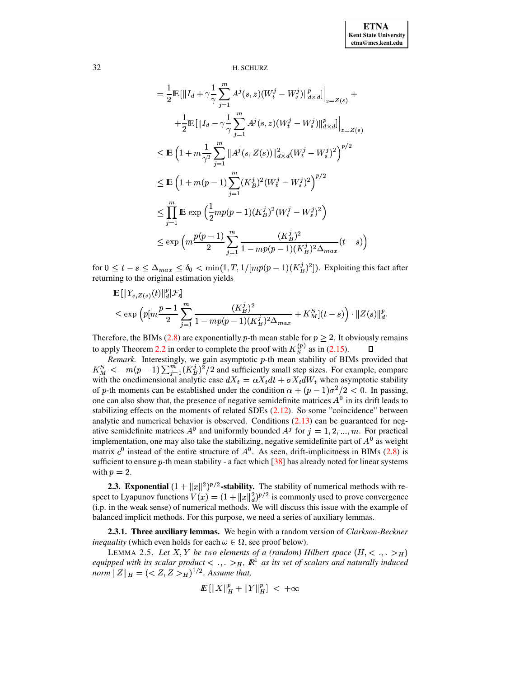$$
= \frac{1}{2} \mathbb{E} \left[ \left\| I_d + \gamma \frac{1}{\gamma} \sum_{j=1}^m A^j(s, z) (W_t^j - W_s^j) \right\|_{d \times d}^p \right]_{z = Z(s)} +
$$
  
+ 
$$
\frac{1}{2} \mathbb{E} \left[ \left\| I_d - \gamma \frac{1}{\gamma} \sum_{j=1}^m A^j(s, z) (W_t^j - W_s^j) \right\|_{d \times d}^p \right|_{z = Z(s)}
$$
  

$$
\leq \mathbb{E} \left( 1 + m \frac{1}{\gamma^2} \sum_{j=1}^m \| A^j(s, Z(s)) \|_{d \times d}^2 (W_t^j - W_s^j)^2 \right)^{p/2}
$$
  

$$
\leq \mathbb{E} \left( 1 + m(p-1) \sum_{j=1}^m (K_B^j)^2 (W_t^j - W_s^j)^2 \right)^{p/2}
$$
  

$$
\leq \prod_{j=1}^m \mathbb{E} \exp \left( \frac{1}{2} m p(p-1) (K_B^j)^2 (W_t^j - W_s^j)^2 \right)
$$
  

$$
\leq \exp \left( m \frac{p(p-1)}{2} \sum_{j=1}^m \frac{(K_B^j)^2}{1 - m p(p-1) (K_B^j)^2 \Delta_{max}} (t - s) \right)
$$

for  $0 \leq t - s \leq \Delta_{max} \leq \delta_0 < \min(1, T, 1/[mp(p-1)(K_B^j)^2])$ . Exploiting this fact after returning to the original estimation yields

$$
\mathbb{E} \left[ \|Y_{s,Z(s)}(t)\|_{d}^{p} | \mathcal{F}_{s} \right] \le \exp \left( p \left[ m \frac{p-1}{2} \sum_{j=1}^{m} \frac{(K_{B}^{j})^{2}}{1 - m p (p-1) (K_{B}^{j})^{2} \Delta_{max}} + K_{M}^{S} \right] (t-s) \right) \cdot \|Z(s)\|_{d}^{p}
$$

Therefore, the BIMs (2.8) are exponentially p-th mean stable for  $p \ge 2$ . It obviously remains to apply Theorem 2.2 in order to complete the proof with  $K_S^{(p)}$  as in (2.15).  $\Box$ 

*Remark*. Interestingly, we gain asymptotic  $p$ -th mean stability of BIMs provided that  $K_M^S < -m(p-1) \sum_{i=1}^m (K_B^j)^2/2$  and sufficiently small step sizes. For example, compare with the one<br>dimensional analytic case  $dX_t = \alpha X_t dt + \sigma X_t dW_t$  when asymptotic stability of p-th moments can be established under the condition  $\alpha + (p-1)\sigma^2/2 < 0$ . In passing, one can also show that, the presence of negative semidefinite matrices  $A<sup>0</sup>$  in its drift leads to stabilizing effects on the moments of related SDEs  $(2.12)$ . So some "coincidence" between analytic and numerical behavior is observed. Conditions  $(2.13)$  can be guaranteed for negative semidefinite matrices  $A^0$  and uniformly bounded  $A^j$  for  $j = 1, 2, ..., m$ . For practical implementation, one may also take the stabilizing, negative semidefinite part of  $A<sup>0</sup>$  as weight matrix  $c^0$  instead of the entire structure of  $A^0$ . As seen, drift-implicitness in BIMs (2.8) is sufficient to ensure  $p$ -th mean stability - a fact which  $[38]$  has already noted for linear systems with  $p = 2$ .

**2.3. Exponential**  $(1 + ||x||^2)^{p/2}$ -stability. The stability of numerical methods with respect to Lyapunov functions  $V(x) = (1 + ||x||_d^2)^{p/2}$  is commonly used to prove convergence (i.p. in the weak sense) of numerical methods. We will discuss this issue with the example of balanced implicit methods. For this purpose, we need a series of auxiliary lemmas.

2.3.1. Three auxiliary lemmas. We begin with a random version of Clarkson-Beckner *inequality* (which even holds for each  $\omega \in \Omega$ , see proof below).

<span id="page-5-0"></span>LEMMA 2.5. Let X, Y be two elements of a (random) Hilbert space  $(H, < ., .>_H)$ equipped with its scalar product  $\langle \cdot, \cdot \rangle_H$ ,  $\mathbb{R}^1$  as its set of scalars and naturally induced *norm*  $||Z||_H = (\langle Z, Z \rangle_H)^{1/2}$ . Assume that,

$$
I\!\!E\left[\|X\|_{H}^{p}+\|Y\|_{H}^{p}\right]<+\infty
$$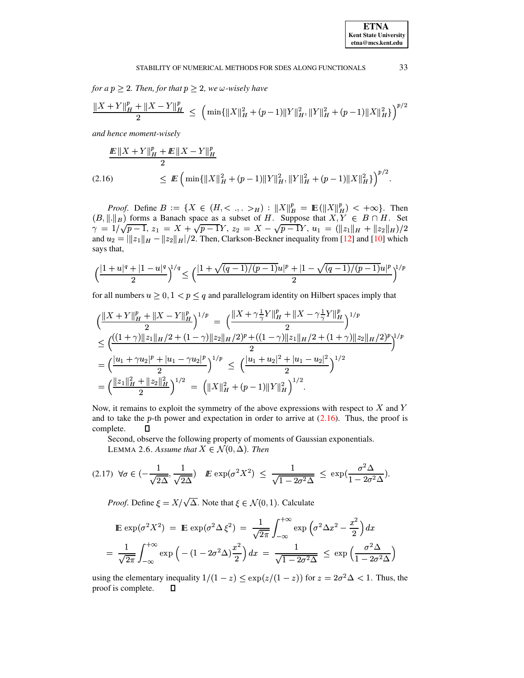for a  $p \geq 2$ . Then, for that  $p \geq 2$ , we  $\omega$ -wisely have

$$
\frac{\|X+Y\|_{H}^{p}+\|X-Y\|_{H}^{p}}{2} ~\leq ~ \Big( \min\{\|X\|_{H}^{2}+(p-1)\|Y\|_{H}^{2}, \|Y\|_{H}^{2}+(p-1)\|X\|_{H}^{2}\} \Big)^{p/2}
$$

and hence moment-wisely

<span id="page-6-0"></span>
$$
\frac{\mathbb{E} \|X + Y\|_{H}^{p} + \mathbb{E} \|X - Y\|_{H}^{p}}{2}
$$
\n
$$
(2.16) \leq \mathbb{E} \left( \min \{ \|X\|_{H}^{2} + (p-1) \|Y\|_{H}^{2}, \|Y\|_{H}^{2} + (p-1) \|X\|_{H}^{2} \} \right)^{p/2}.
$$

*Proof.* Define  $B := \{X \in (H, \langle \cdot, \cdot \rangle_H) : ||X||_B^p = \mathbb{E}(||X||_H^p) \langle \cdot + \infty \rangle\}$ . Then  $(B, ||.||_B)$  forms a Banach space as a subset of H. Suppose that  $X, Y \in B \cap H$ . Set  $\gamma = 1/\sqrt{p-1}, z_1 = X + \sqrt{p-1}Y, z_2 = X - \sqrt{p-1}Y, u_1 = (\|z_1\|_H + \|z_2\|_H)/2$ and  $u_2 = ||z_1||_H - ||z_2||_H / 2$ . Then, Clarkson-Beckner inequality from [12] and [10] which says that,

$$
\Big(\frac{|1+u|^q+|1-u|^q}{2}\Big)^{\!\!1/q}\leq\Big(\frac{|1+\sqrt{(q-1)/(p-1)}u|^p+|1-\sqrt{(q-1)/(p-1)}u|^p}{2}\Big)^{\!\!1/p}
$$

for all numbers  $u \geq 0, 1 < p \leq q$  and parallelogram identity on Hilbert spaces imply that

$$
\begin{split} &\Big( \frac{\|X+Y\|_H^p+\|X-Y\|_H^p}{2} \Big)^{1/p} \ = \ \Big( \frac{\|X+\gamma \frac{1}{\gamma}Y\|_H^p+\|X-\gamma \frac{1}{\gamma}Y\|_H^p}{2} \Big)^{1/p} \\ & \leq \Big( \frac{((1+\gamma)\|z_1\|_H/2+(1-\gamma)\|z_2\|_H/2)^p+((1-\gamma)\|z_1\|_H/2+(1+\gamma)\|z_2\|_H/2)^p}{2} \Big)^{1/p} \\ & = \Big( \frac{|u_1+\gamma u_2|^p+|u_1-\gamma u_2|^p}{2} \Big)^{1/p} \ \leq \ \Big( \frac{|u_1+u_2|^2+|u_1-u_2|^2}{2} \Big)^{1/2} \\ & = \Big( \frac{\|z_1\|_H^2+\|z_2\|_H^2}{2} \Big)^{1/2} \ = \ \Big( \|X\|_H^2+(p-1)\|Y\|_H^2 \Big)^{1/2}. \end{split}
$$

Now, it remains to exploit the symmetry of the above expressions with respect to  $X$  and  $Y$ and to take the p-th power and expectation in order to arrive at  $(2.16)$ . Thus, the proof is complete.  $\Box$ 

Second, observe the following property of moments of Gaussian exponentials. LEMMA 2.6. Assume that  $X \in \mathcal{N}(0, \Delta)$ . Then

<span id="page-6-1"></span>
$$
(2.17) \ \ \forall \sigma \in \left(-\frac{1}{\sqrt{2\Delta}}, \frac{1}{\sqrt{2\Delta}}\right) \quad \mathbf{E} \exp\left(\sigma^2 X^2\right) \ \leq \ \frac{1}{\sqrt{1 - 2\sigma^2 \Delta}} \ \leq \ \exp\left(\frac{\sigma^2 \Delta}{1 - 2\sigma^2 \Delta}\right).
$$

*Proof.* Define  $\xi = X/\sqrt{\Delta}$ . Note that  $\xi \in \mathcal{N}(0, 1)$ . Calculate

$$
\mathbb{E} \exp(\sigma^2 X^2) = \mathbb{E} \exp(\sigma^2 \Delta \xi^2) = \frac{1}{\sqrt{2\pi}} \int_{-\infty}^{+\infty} \exp\left(\sigma^2 \Delta x^2 - \frac{x^2}{2}\right) dx
$$

$$
= \frac{1}{\sqrt{2\pi}} \int_{-\infty}^{+\infty} \exp\left(-\left(1 - 2\sigma^2 \Delta\right)\frac{x^2}{2}\right) dx = \frac{1}{\sqrt{1 - 2\sigma^2 \Delta}} \le \exp\left(\frac{\sigma^2 \Delta}{1 - 2\sigma^2 \Delta}\right)
$$

using the elementary inequality  $1/(1-z) \le \exp(z/(1-z))$  for  $z = 2\sigma^2 \Delta < 1$ . Thus, the proof is complete.  $\Box$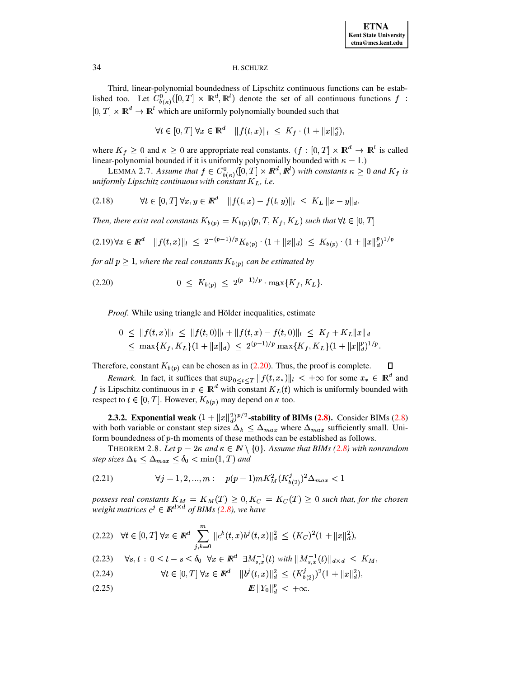Third, linear-polynomial boundedness of Lipschitz continuous functions can be established too. Let  $C^0_{b(\kappa)}([0,T] \times \mathbb{R}^d, \mathbb{R}^l)$  denote the set of all continuous functions  $f$ :  $[0, T] \times \mathbb{R}^d \to \mathbb{R}^l$  which are uniformly polynomially bounded such that

$$
\forall t \in [0, T] \,\forall x \in \mathbb{R}^d \quad \|f(t, x)\|_{l} \leq K_f \cdot (1 + \|x\|_{d}^{\kappa}),
$$

where  $K_f \geq 0$  and  $\kappa \geq 0$  are appropriate real constants.  $(f : [0, T] \times \mathbb{R}^d \to \mathbb{R}^l$  is called linear-polynomial bounded if it is uniformly polynomially bounded with  $\kappa = 1$ .)

LEMMA 2.7. *Assume that*  $f \in C_{b(\kappa)}^0([0, T] \times \mathbb{R}^d, \mathbb{R}^l)$  with constants  $\kappa \geq 0$  and  $K_f$  is *uniformly Lipschitz continuous with constant*  $K_L$ , *i.e.* 

$$
(2.18) \t\t \forall t \in [0, T] \ \forall x, y \in \mathbb{R}^d \quad \|f(t, x) - f(t, y)\|_{l} \le K_L \|x - y\|_{d}.
$$

Then, there exist real constants  $K_{b(p)} = K_{b(p)}(p,T,K_f,K_L)$  such that  $\forall t \in [0,T]$ 

$$
(2.19)\,\forall x \in \mathbb{R}^d \quad \|f(t,x)\|_{l} \leq 2^{-(p-1)/p}K_{b(p)} \cdot (1 + \|x\|_{d}) \leq K_{b(p)} \cdot (1 + \|x\|_{d}^p)^{1/p}
$$

for all  $p \geq 1$ , where the real constants  $K_{b(p)}$  can be estimated by

<span id="page-7-0"></span>
$$
(2.20) \t\t 0 \leq K_{b(p)} \leq 2^{(p-1)/p} \cdot \max\{K_f, K_L\}.
$$

*Proof.* While using triangle and Hölder inequalities, estimate

$$
0 \leq ||f(t,x)||_l \leq ||f(t,0)||_l + ||f(t,x) - f(t,0)||_l \leq K_f + K_L ||x||_d
$$
  

$$
\leq \max\{K_f, K_L\}(1 + ||x||_d) \leq 2^{(p-1)/p} \max\{K_f, K_L\}(1 + ||x||_q^p)^{1/p}.
$$

Therefore, constant  $K_{b(p)}$  can be chosen as in [\(2.20\)](#page-7-0). Thus, the proof is complete.

*Remark.* In fact, it suffices that  $\sup_{0 \le t \le T} ||f(t, x_*)||_1 < +\infty$  for some  $x_* \in \mathbb{R}^d$  and f is Lipschitz continuous in  $x \in \mathbb{R}^d$  with constant  $K_L(t)$  which is uniformly bounded with respect to  $t \in [0, T]$ . However,  $K_{b(p)}$  may depend on  $\kappa$  too.

**2.3.2.** Exponential weak  $(1+\|x\|_d^2)^{p/2}$ -stabil with both variable or constant step sizes  $\Delta_k \leq \Delta_{max}$  where  $\Delta_{max}$  sufficiently small. Uni- $/2$ -stability of BIMs  $(2.8)$ . Consider BIMs  $(2.8)$ form boundedness of  $p$ -th moments of these methods can be established as follows.

THEOREM 2.8. Let  $p = 2\kappa$  and  $\kappa \in \mathbb{N} \setminus \{0\}$ . Assume that BIMs [\(2.8\)](#page-3-0) with nonrandom step sizes  $\Delta_k \leq \Delta_{max} \leq \delta_0 < \min(1, T)$  and

(2.21) 
$$
\forall j = 1, 2, ..., m: \quad p(p-1)mK_M^2(K_{b(2)}^j)^2\Delta_{max} < 1
$$

 $p$  *ossess real constants*  $K_M = K_M(T) \geq 0, K_C = K_C(T) \geq 0$  such that, for the chosen *weight matrices*  $c^j \in \mathbb{R}^{d \times d}$  *of BIMs* [\(2.8\)](#page-3-0), we have

<span id="page-7-1"></span>
$$
(2.22) \quad \forall t \in [0, T] \,\forall x \in \mathbb{R}^d \sum_{j,k=0}^m \|c^k(t,x)b^j(t,x)\|_d^2 \le (K_C)^2 (1 + \|x\|_d^2),
$$

$$
\begin{aligned}\n&\text{(2.23)} \quad \forall s, t : 0 \le t - s \le \delta_0 \quad \forall x \in \mathbb{R}^d \quad \exists M_{s,x}^{-1}(t) \text{ with } ||M_{s,x}^{-1}(t)||_{d \times d} \le K_M, \\
&\forall t \in [0, T] \quad \forall x \in \mathbb{R}^d \quad ||b^j(t,x)||_d^2 \le (K_{b(2)}^j)^2 (1 + ||x||_d^2),\n\end{aligned}
$$

<sup>¬</sup> <sup>¬</sup> <sup>Þ</sup> <sup>Û</sup>

$$
E\|Y_0\|_d^p < +\infty.
$$

. 34"5n6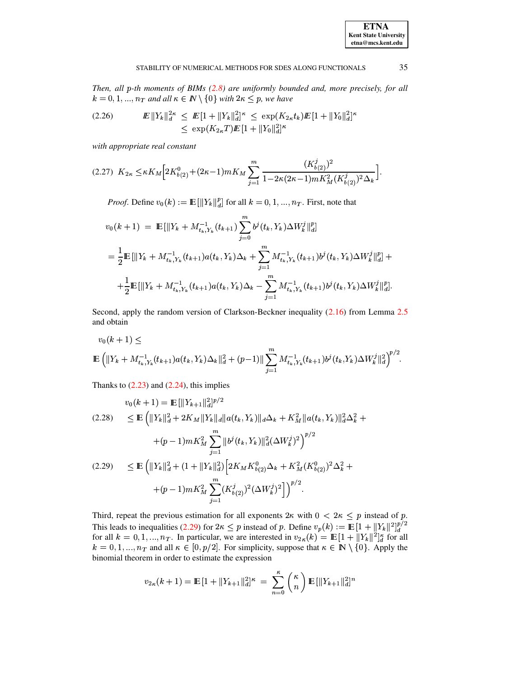#### STABILITY OF NUMERICAL METHODS FOR SDES ALONG FUNCTIONALS

Then, all p-th moments of BIMs (2.8) are uniformly bounded and, more precisely, for all  $k = 0, 1, ..., n_T$  and all  $\kappa \in \mathbb{N} \setminus \{0\}$  with  $2\kappa \leq p$ , we have

<span id="page-8-1"></span>

with appropriate real constant

<span id="page-8-2"></span>
$$
(2.27) \ \ K_{2\kappa} \leq \kappa K_M \Big[ 2K_{b(2)}^0 + (2\kappa - 1)mK_M \sum_{j=1}^m \frac{(K_{b(2)}^j)^2}{1 - 2\kappa(2\kappa - 1)mK_M^2(K_{b(2)}^j)^2 \Delta_k} \Big].
$$

*Proof.* Define  $v_0(k) := \mathbb{E} [||Y_k||_d^p]$  for all  $k = 0, 1, ..., n_T$ . First, note that

$$
v_0(k+1) = \mathbb{E}[\|Y_k + M_{t_k, Y_k}^{-1}(t_{k+1}) \sum_{j=0}^m b^j(t_k, Y_k) \Delta W_k^j\|_d^p]
$$
  

$$
= \frac{1}{2} \mathbb{E}[\|Y_k + M_{t_k, Y_k}^{-1}(t_{k+1}) a(t_k, Y_k) \Delta_k + \sum_{j=1}^m M_{t_k, Y_k}^{-1}(t_{k+1}) b^j(t_k, Y_k) \Delta W_k^j\|_d^p] +
$$
  

$$
+ \frac{1}{2} \mathbb{E}[\|Y_k + M_{t_k, Y_k}^{-1}(t_{k+1}) a(t_k, Y_k) \Delta_k - \sum_{j=1}^m M_{t_k, Y_k}^{-1}(t_{k+1}) b^j(t_k, Y_k) \Delta W_k^j\|_d^p].
$$

Second, apply the random version of Clarkson-Beckner inequality (2.16) from Lemma 2.5 and obtain

$$
v_0(k+1) \le
$$
  

$$
\mathbb{E}\left(\|Y_k + M_{t_k,Y_k}^{-1}(t_{k+1})a(t_k,Y_k)\Delta_k\|_d^2 + (p-1)\|\sum_{j=1}^m M_{t_k,Y_k}^{-1}(t_{k+1})b^j(t_k,Y_k)\Delta W_k^j\|_d^2\right)^{p/2}.
$$

Thanks to  $(2.23)$  and  $(2.24)$ , this implies

 $\mathbb{R}^2$ 

<span id="page-8-0"></span>
$$
v_0(k+1) = \mathbb{E} [\|Y_{k+1}\|_d^2]^{p/2}
$$
  
(2.28) 
$$
\leq \mathbb{E} \left( \|Y_k\|_d^2 + 2K_M \|Y_k\|_d \|a(t_k, Y_k)\|_d \Delta_k + K_M^2 \|a(t_k, Y_k)\|_d^2 \Delta_k^2 + (p-1)mK_M^2 \sum_{j=1}^m \|b^j(t_k, Y_k)\|_d^2 (\Delta W_k^j)^2 \right)^{p/2}
$$
  
(2.29) 
$$
\leq \mathbb{E} \left( \|Y_k\|_d^2 + (1 + \|Y_k\|_d^2) \left[ 2K_M K_{b(2)}^0 \Delta_k + K_M^2 (K_{b(2)}^0)^2 \Delta_k^2 + (p-1)mK_M^2 \sum_{j=1}^m (K_{b(2)}^j)^2 (\Delta W_k^j)^2 \right] \right)^{p/2}.
$$

Third, repeat the previous estimation for all exponents  $2\kappa$  with  $0 < 2\kappa \le p$  instead of p. This leads to inequalities (2.29) for  $2\kappa \leq p$  instead of p. Define  $v_p(k) := \mathbb{E} [1 + ||Y_k||^2]_d^{p/2}$ <br>for all  $k = 0, 1, ..., n_T$ . In particular, we are interested in  $v_{2\kappa}(k) = \mathbb{E} [1 + ||Y_k||^2]_d^{\kappa}$  for all  $k = 0, 1, ..., n_T$ .  $k = 0, 1, ..., n_T$  and all  $\kappa \in [0, p/2]$ . For simplicity, suppose that  $\kappa \in \mathbb{N} \setminus \{0\}$ . Apply the binomial theorem in order to estimate the expression

$$
v_{2\kappa}(k+1) = \mathbb{E}\left[1 + \|Y_{k+1}\|_{d}^{2}\right]^{\kappa} = \sum_{n=0}^{\kappa} \binom{\kappa}{n} \mathbb{E}\left[\|Y_{k+1}\|_{d}^{2}\right]^n
$$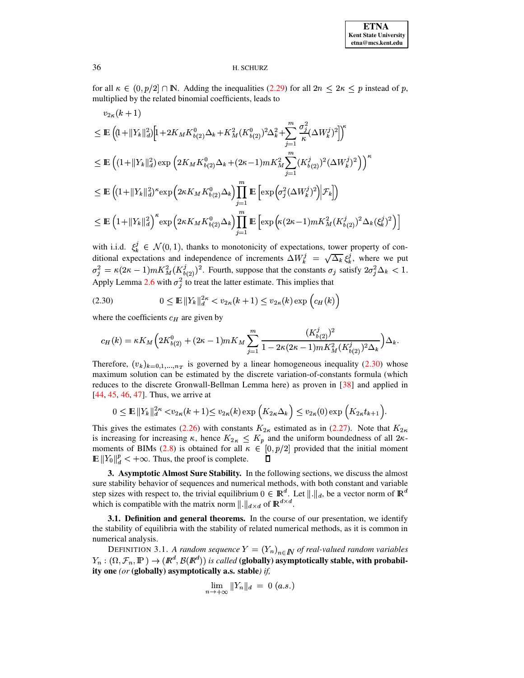for all  $\kappa \in (0, p/2] \cap \mathbb{N}$ . Adding the inequalities (2.29) for all  $2n \leq 2\kappa \leq p$  instead of p, multiplied by the related binomial coefficients, leads to

$$
v_{2\kappa}(k+1)
$$
  
\n
$$
\leq \mathbb{E}\left((1+||Y_k||_d^2)\Big[1+2K_MK_{b(2)}^0\Delta_k+K_M^2(K_{b(2)}^0)^2\Delta_k^2+\sum_{j=1}^m\frac{\sigma_j^2}{\kappa}(\Delta W_k^j)^2\Big]\right)^{\kappa}
$$
  
\n
$$
\leq \mathbb{E}\left((1+||Y_k||_d^2)\exp\Big(2K_MK_{b(2)}^0\Delta_k+(2\kappa-1)mK_M^2\sum_{j=1}^m(K_{b(2)}^j)^2(\Delta W_k^j)^2\Big)\right)^{\kappa}
$$
  
\n
$$
\leq \mathbb{E}\left((1+||Y_k||_d^2)^{\kappa}\exp\Big(2\kappa K_MK_{b(2)}^0\Delta_k\Big)\prod_{j=1}^m\mathbb{E}\Big[\exp\Big(\sigma_j^2(\Delta W_k^j)^2\Big)\Big|\mathcal{F}_k\Big]\right)
$$
  
\n
$$
\leq \mathbb{E}\left(1+\|Y_k\|_d^2\right)^{\kappa}\exp\Big(2\kappa K_MK_{b(2)}^0\Delta_k\Big)\prod_{j=1}^m\mathbb{E}\Big[\exp\Big(\kappa(2\kappa-1)mK_M^2(K_{b(2)}^j)^2\Delta_k(\xi_k^j)^2\Big)\Big]
$$

with i.i.d.  $\xi_k^j \in \mathcal{N}(0, 1)$ , thanks to monotonicity of expectations, tower property of conditional expectations and independence of increments  $\Delta W_k^j = \sqrt{\Delta_k} \xi_k^j$ , where we put  $\sigma_j^2 = \kappa (2\kappa - 1) m K_M^2 (K_{b(2)}^j)^2$ . Fourth, suppose that the constants  $\sigma_j$  satisfy  $2\sigma_j^2 \Delta_k < 1$ . Apply Lemma 2.6 with  $\sigma_i^2$  to treat the latter estimate. This implies that

<span id="page-9-0"></span>
$$
(2.30) \t\t 0 \le \mathbb{E} \left\| Y_k \right\|_d^{2\kappa} < v_{2\kappa}(k+1) \le v_{2\kappa}(k) \exp\left(c_H(k)\right)
$$

where the coefficients  $c_H$  are given by

$$
c_H(k) = \kappa K_M \Big( 2K_{b(2)}^0 + (2\kappa - 1)mK_M \sum_{j=1}^m \frac{(K_{b(2)}^j)^2}{1 - 2\kappa(2\kappa - 1)mK_M^2(K_{b(2)}^j)^2 \Delta_k} \Big) \Delta_k.
$$

Therefore,  $(v_k)_{k=0,1,...,n_T}$  is governed by a linear homogeneous inequality (2.30) whose maximum solution can be estimated by the discrete variation-of-constants formula (which reduces to the discrete Gronwall-Bellman Lemma here) as proven in [38] and applied in  $[44, 45, 46, 47]$ . Thus, we arrive at

$$
0 \le \mathbb{E} \left\|Y_k\right\|_{d}^{2\kappa} < v_{2\kappa}(k+1) \le v_{2\kappa}(k) \exp\left(K_{2\kappa} \Delta_k\right) \le v_{2\kappa}(0) \exp\left(K_{2\kappa} t_{k+1}\right).
$$

This gives the estimates (2.26) with constants  $K_{2\kappa}$  estimated as in (2.27). Note that  $K_{2\kappa}$ is increasing for increasing  $\kappa$ , hence  $K_{2\kappa} \leq K_p$  and the uniform boundedness of all  $2\kappa$ moments of BIMs (2.8) is obtained for all  $\kappa \in [0, p/2]$  provided that the initial moment  $\mathbb{E} ||Y_0||_d^p < +\infty$ . Thus, the proof is complete.  $\Box$ 

3. Asymptotic Almost Sure Stability. In the following sections, we discuss the almost sure stability behavior of sequences and numerical methods, with both constant and variable step sizes with respect to, the trivial equilibrium  $0 \in \mathbb{R}^d$ . Let  $\|\cdot\|_d$ , be a vector norm of  $\mathbb{R}^d$ which is compatible with the matrix norm  $\|\cdot\|_{d\times d}$  of  $\mathbb{R}^{d\times d}$ .

3.1. Definition and general theorems. In the course of our presentation, we identify the stability of equilibria with the stability of related numerical methods, as it is common in numerical analysis.

DEFINITION 3.1. A random sequence  $Y = (Y_n)_{n \in \mathbb{N}}$  of real-valued random variables  $Y_n : (\Omega, \mathcal{F}_n, \mathbb{P}) \to (\mathbb{R}^d, \mathcal{B}(\mathbb{R}^d))$  is called (globally) asymptotically stable, with probability one (or (globally) asymptotically a.s. stable) if,

$$
\lim_{n \to +\infty} ||Y_n||_d = 0 \ (a.s.)
$$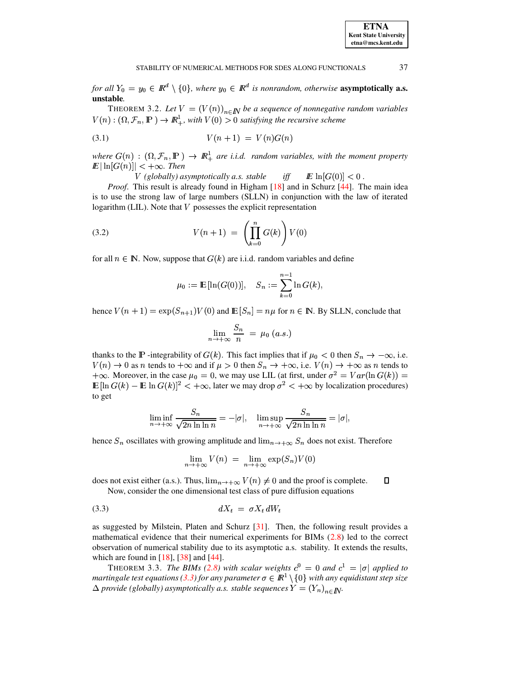<span id="page-10-1"></span>for all  $Y_0 = y_0 \in \mathbb{R}^d \setminus \{0\}$ , where  $y_0 \in \mathbb{R}^d$  is nonrandom, otherwise **asymptotically a.s.** unstable.

THEOREM 3.2. Let  $V = (V(n))_{n \in \mathbb{N}}$  be a sequence of nonnegative random variables  $V(n): (\Omega, \mathcal{F}_n, \mathbb{P}) \to \mathbb{R}^1_+,$  with  $V(0) > 0$  satisfying the recursive scheme

$$
(3.1) \t\t\t V(n+1) = V(n)G(n)
$$

where  $G(n) : (\Omega, \mathcal{F}_n, \mathbb{P}) \to \mathbb{R}^1_+$  are i.i.d. random variables, with the moment property  $\mathbb{E} |\ln[G(n)]| < +\infty$ . Then

> $V$  (globally) asymptotically a.s. stable  $iff$  $E \ln[G(0)] < 0$ .

*Proof.* This result is already found in Higham [18] and in Schurz [44]. The main idea is to use the strong law of large numbers (SLLN) in conjunction with the law of iterated logarithm (LIL). Note that  $V$  possesses the explicit representation

<span id="page-10-3"></span>(3.2) 
$$
V(n+1) = \left(\prod_{k=0}^{n} G(k)\right) V(0)
$$

for all  $n \in \mathbb{N}$ . Now, suppose that  $G(k)$  are i.i.d. random variables and define

$$
\mu_0 := \mathbb{E} [\ln(G(0))], \quad S_n := \sum_{k=0}^{n-1} \ln G(k),
$$

hence  $V(n + 1) = \exp(S_{n+1})V(0)$  and  $\mathbb{E}[S_n] = n\mu$  for  $n \in \mathbb{N}$ . By SLLN, conclude that

$$
\lim_{n \to +\infty} \frac{S_n}{n} = \mu_0 \ (a.s.)
$$

thanks to the IP-integrability of  $G(k)$ . This fact implies that if  $\mu_0 < 0$  then  $S_n \to -\infty$ , i.e.  $V(n) \to 0$  as n tends to  $+\infty$  and if  $\mu > 0$  then  $S_n \to +\infty$ , i.e.  $V(n) \to +\infty$  as n tends to  $+\infty$ . Moreover, in the case  $\mu_0 = 0$ , we may use LIL (at first, under  $\sigma^2 = Var(\ln G(k))$  =  $\mathbb{E}[\ln G(k) - \mathbb{E} \ln G(k)]^2 < +\infty$ , later we may drop  $\sigma^2 < +\infty$  by localization procedures) to get

$$
\liminf_{n \to +\infty} \frac{S_n}{\sqrt{2n \ln \ln n}} = -|\sigma|, \quad \limsup_{n \to +\infty} \frac{S_n}{\sqrt{2n \ln \ln n}} = |\sigma|,
$$

hence  $S_n$  oscillates with growing amplitude and  $\lim_{n\to+\infty} S_n$  does not exist. Therefore

<span id="page-10-0"></span>
$$
\lim_{n \to +\infty} V(n) = \lim_{n \to +\infty} \exp(S_n) V(0)
$$

does not exist either (a.s.). Thus,  $\lim_{n\to+\infty} V(n) \neq 0$  and the proof is complete.  $\Box$ Now, consider the one dimensional test class of pure diffusion equations

$$
dX_t = \sigma X_t dW_t
$$

as suggested by Milstein, Platen and Schurz [31]. Then, the following result provides a mathematical evidence that their numerical experiments for BIMs (2.8) led to the correct observation of numerical stability due to its asymptotic a.s. stability. It extends the results, which are found in  $[18]$ ,  $[38]$  and  $[44]$ .

<span id="page-10-2"></span>THEOREM 3.3. The BIMs (2.8) with scalar weights  $c^0 = 0$  and  $c^1 = |\sigma|$  applied to martingale test equations (3.3) for any parameter  $\sigma \in \mathbb{R}^1 \setminus \{0\}$  with any equidistant step size  $\Delta$  provide (globally) asymptotically a.s. stable sequences  $Y = (Y_n)_{n \in \mathbb{N}}$ .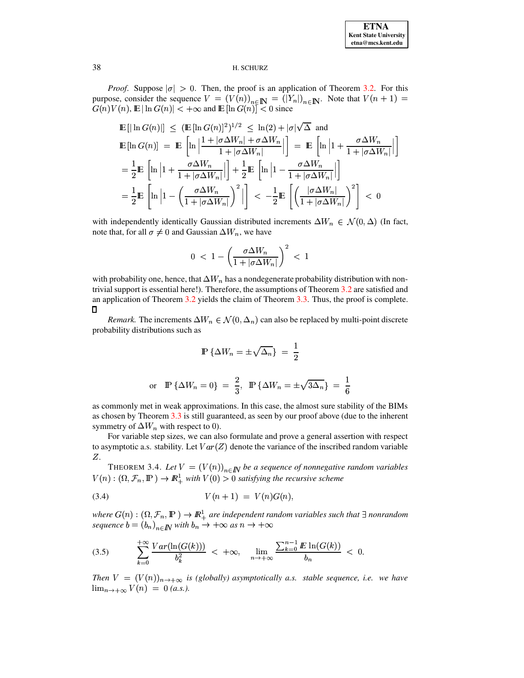*Proof.* Suppose  $|\sigma| > 0$ . Then, the proof is an application of Theorem 3.2. For this purpose, consider the sequence  $V = (V(n))_{n \in \mathbb{N}} = (|Y_n|)_{n \in \mathbb{N}}$ . Note that  $V(n + 1) =$  $G(n)V(n)$ ,  $\mathbb{E} |\ln G(n)| < +\infty$  and  $\mathbb{E} |\ln G(n)| < 0$  since

$$
\mathbb{E}\left[\left|\ln G(n)\right|\right] \leq (\mathbb{E}\left[\ln G(n)\right]^2)^{1/2} \leq \ln(2) + |\sigma|\sqrt{\Delta} \text{ and}
$$
\n
$$
\mathbb{E}\left[\ln G(n)\right] = \mathbb{E}\left[\ln\left|\frac{1 + |\sigma\Delta W_n| + \sigma\Delta W_n}{1 + |\sigma\Delta W_n|}\right|\right] = \mathbb{E}\left[\ln\left|1 + \frac{\sigma\Delta W_n}{1 + |\sigma\Delta W_n|}\right|\right]
$$
\n
$$
= \frac{1}{2}\mathbb{E}\left[\ln\left|1 + \frac{\sigma\Delta W_n}{1 + |\sigma\Delta W_n|}\right|\right] + \frac{1}{2}\mathbb{E}\left[\ln\left|1 - \frac{\sigma\Delta W_n}{1 + |\sigma\Delta W_n|}\right|\right]
$$
\n
$$
= \frac{1}{2}\mathbb{E}\left[\ln\left|1 - \left(\frac{\sigma\Delta W_n}{1 + |\sigma\Delta W_n|}\right)^2\right|\right] < -\frac{1}{2}\mathbb{E}\left[\left(\frac{|\sigma\Delta W_n|}{1 + |\sigma\Delta W_n|}\right)^2\right] < 0
$$

with independently identically Gaussian distributed increments  $\Delta W_n \in \mathcal{N}(0, \Delta)$  (In fact, note that, for all  $\sigma \neq 0$  and Gaussian  $\Delta W_n$ , we have

$$
0\ <\ 1-\left(\frac{\sigma\Delta W_n}{1+|\sigma\Delta W_n|}\right)^2\ <\ 1
$$

with probability one, hence, that  $\Delta W_n$  has a nondegenerate probability distribution with nontrivial support is essential here!). Therefore, the assumptions of Theorem 3.2 are satisfied and an application of Theorem  $3.2$  yields the claim of Theorem  $3.3$ . Thus, the proof is complete.  $\Box$ 

*Remark*. The increments  $\Delta W_n \in \mathcal{N}(0, \Delta_n)$  can also be replaced by multi-point discrete probability distributions such as

$$
\mathbb{P}\left\{\Delta W_n = \pm \sqrt{\Delta_n}\right\} = \frac{1}{2}
$$
  
or 
$$
\mathbb{P}\left\{\Delta W_n = 0\right\} = \frac{2}{3}, \quad \mathbb{P}\left\{\Delta W_n = \pm \sqrt{3\Delta_n}\right\} = \frac{1}{6}
$$

as commonly met in weak approximations. In this case, the almost sure stability of the BIMs as chosen by Theorem 3.3 is still guaranteed, as seen by our proof above (due to the inherent symmetry of  $\Delta W_n$  with respect to 0).

For variable step sizes, we can also formulate and prove a general assertion with respect to asymptotic a.s. stability. Let  $Var(Z)$  denote the variance of the inscribed random variable Ζ.

<span id="page-11-1"></span>THEOREM 3.4. Let  $V = (V(n))_{n \in \mathbb{N}}$  be a sequence of nonnegative random variables  $V(n) : (\Omega, \mathcal{F}_n, \mathbb{P}) \to \mathbb{R}^1_+$  with  $V(0) > 0$  satisfying the recursive scheme

$$
(3.4) \tV(n+1) = V(n)G(n),
$$

where  $G(n) : (\Omega, \mathcal{F}_n, \mathbb{P}) \to \mathbb{R}^1_+$  are independent random variables such that  $\exists$  nonrandom sequence  $b = (b_n)_{n \in \mathbb{N}}$  with  $b_n \to +\infty$  as  $n \to +\infty$ 

<span id="page-11-0"></span>
$$
(3.5) \qquad \qquad \sum_{k=0}^{+\infty} \frac{Var(\ln(G(k)))}{b_k^2} < +\infty, \quad \lim_{n \to +\infty} \frac{\sum_{k=0}^{n-1} E \ln(G(k))}{b_n} < 0.
$$

Then  $V = (V(n))_{n \to +\infty}$  is (globally) asymptotically a.s. stable sequence, i.e. we have  $\lim_{n \to +\infty} V(n) = 0$  (a.s.).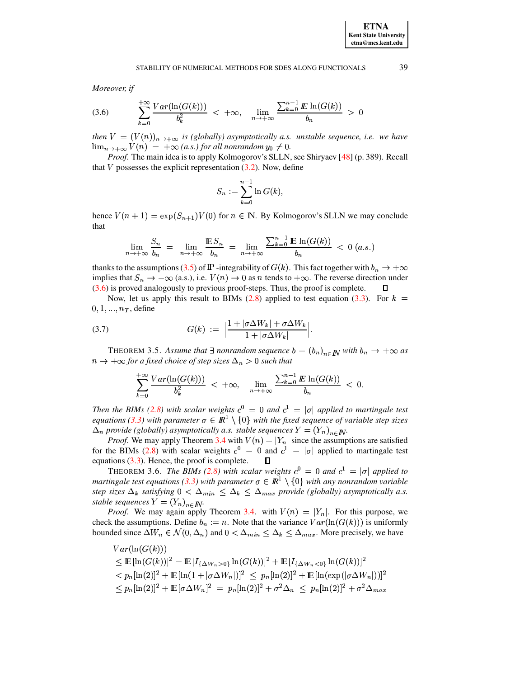Moreover, if

<span id="page-12-0"></span>
$$
(3.6) \qquad \qquad \sum_{k=0}^{+\infty} \frac{Var(\ln(G(k)))}{b_k^2} < +\infty, \quad \lim_{n \to +\infty} \frac{\sum_{k=0}^{n-1} E \ln(G(k))}{b_n} > 0
$$

then  $V = (V(n))_{n \to +\infty}$  is (globally) asymptotically a.s. unstable sequence, i.e. we have  $\lim_{n\to+\infty}V(n) = +\infty$  (a.s.) for all nonrandom  $y_0 \neq 0$ .

*Proof.* The main idea is to apply Kolmogorov's SLLN, see Shiryaev [48] (p. 389). Recall that V possesses the explicit representation  $(3.2)$ . Now, define

$$
S_n := \sum_{k=0}^{n-1} \ln G(k),
$$

hence  $V(n + 1) = \exp(S_{n+1})V(0)$  for  $n \in \mathbb{N}$ . By Kolmogorov's SLLN we may conclude that

$$
\lim_{n \to +\infty} \frac{S_n}{b_n} = \lim_{n \to +\infty} \frac{\mathbb{E} S_n}{b_n} = \lim_{n \to +\infty} \frac{\sum_{k=0}^{n-1} \mathbb{E} \ln(G(k))}{b_n} < 0 \ (a.s.)
$$

thanks to the assumptions (3.5) of  $\mathbb P$  -integrability of  $G(k)$ . This fact together with  $b_n \to +\infty$ implies that  $S_n \to -\infty$  (a.s.), i.e.  $V(n) \to 0$  as *n* tends to  $+\infty$ . The reverse direction under  $(3.6)$  is proved analogously to previous proof-steps. Thus, the proof is complete. П

Now, let us apply this result to BIMs (2.8) applied to test equation (3.3). For  $k =$  $0, 1, ..., n_T$ , define

<span id="page-12-1"></span>(3.7) 
$$
G(k) := \left| \frac{1 + |\sigma \Delta W_k| + \sigma \Delta W_k}{1 + |\sigma \Delta W_k|} \right|.
$$

<span id="page-12-2"></span>THEOREM 3.5. Assume that  $\exists$  nonrandom sequence  $b = (b_n)_{n \in \mathbb{N}}$  with  $b_n \to +\infty$  as  $n \to +\infty$  for a fixed choice of step sizes  $\Delta_n > 0$  such that

$$
\sum_{k=0}^{+\infty} \frac{Var(\ln(G(k)))}{b_k^2} < +\infty, \quad \lim_{n \to +\infty} \frac{\sum_{k=0}^{n-1} E \ln(G(k))}{b_n} < 0.
$$

Then the BIMs (2.8) with scalar weights  $c^0 = 0$  and  $c^1 = |\sigma|$  applied to martingale test equations (3.3) with parameter  $\sigma \in \mathbb{R}^1 \setminus \{0\}$  with the fixed sequence of variable step sizes  $\Delta_n$  provide (globally) asymptotically a.s. stable sequences  $Y = (Y_n)_{n \in \mathbb{N}}$ .

*Proof.* We may apply Theorem 3.4 with  $V(n) = |Y_n|$  since the assumptions are satisfied for the BIMs (2.8) with scalar weights  $c^0 = 0$  and  $c^1 = |\sigma|$  applied to martingale test equations  $(3.3)$ . Hence, the proof is complete. Л

THEOREM 3.6. The BIMs (2.8) with scalar weights  $c^0 = 0$  and  $c^1 = |\sigma|$  applied to martingale test equations (3.3) with parameter  $\sigma \in \mathbb{R}^1 \setminus \{0\}$  with any nonrandom variable step sizes  $\Delta_k$  satisfying  $0 < \Delta_{min} \leq \Delta_k \leq \Delta_{max}$  provide (globally) asymptotically a.s. stable sequences  $Y = (Y_n)_{n \in I\!\!N}$ .

*Proof.* We may again apply Theorem 3.4. with  $V(n) = |Y_n|$ . For this purpose, we check the assumptions. Define  $b_n := n$ . Note that the variance  $Var(\ln(G(k)))$  is uniformly bounded since  $\Delta W_n \in \mathcal{N}(0, \Delta_n)$  and  $0 < \Delta_{min} \leq \Delta_k \leq \Delta_{max}$ . More precisely, we have

 $Var(\ln(G(k)))$  $\leq$   $\mathbb{E} \left[ \ln(G(k)) \right]^2 = \mathbb{E} \left[ I_{\{\Delta W_n > 0\}} \ln(G(k)) \right]^2 + \mathbb{E} \left[ I_{\{\Delta W_n < 0\}} \ln(G(k)) \right]^2$  $\langle p_n[\ln(2)]^2 + \mathbb{E}[\ln(1+|\sigma \Delta W_n|)]^2 \rangle \langle p_n[\ln(2)]^2 + \mathbb{E}[\ln(\exp(|\sigma \Delta W_n|))]^2 \rangle$  $\leq p_n \ln(2)^2 + \mathbb{E} \left[\sigma \Delta W_n\right]^2 = p_n \ln(2)^2 + \sigma^2 \Delta_n \leq p_n \ln(2)^2 + \sigma^2 \Delta_{max}$  39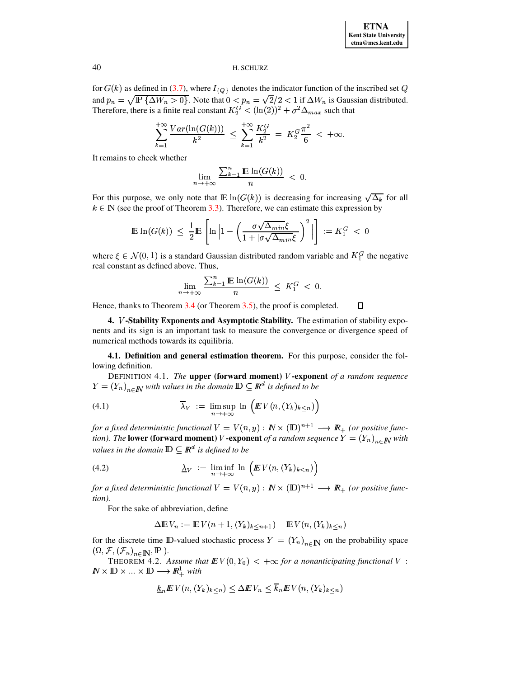for  $G(k)$  as defined in (3.7), where  $I_{\{Q\}}$  denotes the indicator function of the inscribed set Q and  $p_n = \sqrt{\mathbb{P}\left\{\Delta W_n > 0\right\}}$ . Note that  $0 < p_n = \sqrt{2}/2 < 1$  if  $\Delta W_n$  is Gaussian distributed. Therefore, there is a finite real constant  $K_2^G < (\ln(2))^2 + \sigma^2 \Delta_{max}$  such that

$$
\sum_{k=1}^{+\infty} \frac{Var(\ln(G(k)))}{k^2} \le \sum_{k=1}^{+\infty} \frac{K_2^G}{k^2} = K_2^G \frac{\pi^2}{6} < +\infty.
$$

It remains to check whether

$$
\lim_{n \to +\infty} \frac{\sum_{k=1}^{n} \mathbb{E} \ln(G(k))}{n} < 0.
$$

For this purpose, we only note that  $\mathbb{E} \ln(G(k))$  is decreasing for increasing  $\sqrt{\Delta_k}$  for all  $k \in \mathbb{N}$  (see the proof of Theorem 3.3). Therefore, we can estimate this expression by

$$
\mathbb{E}\ln(G(k)) \leq \frac{1}{2}\mathbb{E}\left[\ln\left|1-\left(\frac{\sigma\sqrt{\Delta_{min}}\xi}{1+|\sigma\sqrt{\Delta_{min}}\xi|}\right)^2\right|\right] := K_1^G < 0
$$

where  $\xi \in \mathcal{N}(0,1)$  is a standard Gaussian distributed random variable and  $K_1^G$  the negative real constant as defined above. Thus,

$$
\lim_{n \to +\infty} \frac{\sum_{k=1}^{n} \mathbb{E} \ln(G(k))}{n} \leq K_1^G < 0.
$$

Hence, thanks to Theorem  $3.4$  (or Theorem  $3.5$ ), the proof is completed.  $\Box$ 

4. V-Stability Exponents and Asymptotic Stability. The estimation of stability exponents and its sign is an important task to measure the convergence or divergence speed of numerical methods towards its equilibria.

4.1. Definition and general estimation theorem. For this purpose, consider the following definition.

DEFINITION 4.1. The upper (forward moment)  $V$ -exponent of a random sequence  $Y = (Y_n)_{n \in \mathbb{N}}$  with values in the domain  $\mathbb{D} \subseteq \mathbb{R}^d$  is defined to be

(4.1) 
$$
\overline{\lambda}_V := \limsup_{n \to +\infty} \ln \left( E V(n, (Y_k)_{k \leq n}) \right)
$$

for a fixed deterministic functional  $V = V(n, y) : \mathbb{N} \times (\mathbb{D})^{n+1} \longrightarrow \mathbb{R}_+$  (or positive function). The **lower** (forward moment) V-exponent of a random sequence  $Y = (Y_n)_{n \in \mathbb{N}}$  with values in the domain  $\mathbb{D} \subseteq \mathbb{R}^d$  is defined to be

(4.2) 
$$
\underline{\lambda}_V := \liminf_{n \to +\infty} \ln \left( E V(n, (Y_k)_{k \leq n}) \right)
$$

for a fixed deterministic functional  $V = V(n, y) : \mathbb{N} \times (\mathbb{D})^{n+1} \longrightarrow \mathbb{R}_+$  (or positive function).

For the sake of abbreviation, define

$$
\Delta \mathbb{E} V_n := \mathbb{E} V(n+1, (Y_k)_{k \le n+1}) - \mathbb{E} V(n, (Y_k)_{k \le n})
$$

for the discrete time ID-valued stochastic process  $Y = (Y_n)_{n \in \mathbb{N}}$  on the probability space  $(\Omega, \mathcal{F}, (\mathcal{F}_n)_{n \in \mathbb{N}}, \mathbb{P}).$ 

<span id="page-13-0"></span>THEOREM 4.2. Assume that  $E V(0, Y_0) < +\infty$  for a nonanticipating functional V:  $\mathbb{N} \times \mathbb{D} \times ... \times \mathbb{D} \longrightarrow \mathbb{R}^1_+$  with

$$
\underline{k}_n E V(n, (Y_k)_{k \le n}) \le \Delta E V_n \le \overline{k}_n E V(n, (Y_k)_{k \le n})
$$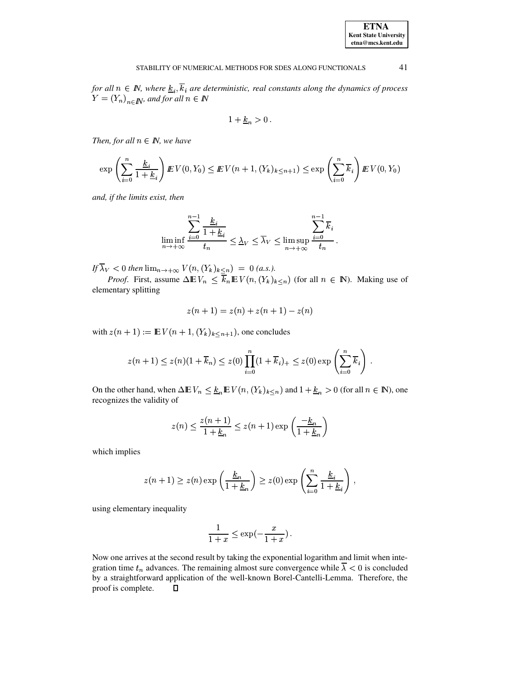for all  $n \in \mathbb{N}$ , where  $\underline{k}_i, \overline{k}_i$  are deterministic, real constants along the dynamics of process  $Y = (Y_n)_{n \in \mathbb{N}}$ , and for all  $n \in \mathbb{N}$ 

$$
1 + \underline{k}_n > 0
$$

Then, for all  $n \in \mathbb{N}$ , we have

$$
\exp\left(\sum_{i=0}^{n} \frac{k_i}{1+k_i}\right) E V(0, Y_0) \leq E V(n+1, (Y_k)_{k \leq n+1}) \leq \exp\left(\sum_{i=0}^{n} \overline{k}_i\right) E V(0, Y_0)
$$

and, if the limits exist, then

$$
\liminf_{n \to +\infty} \frac{\sum_{i=0}^{n-1} \frac{k_i}{1 + \underline{k}_i}}{t_n} \le \underline{\lambda}_V \le \overline{\lambda}_V \le \limsup_{n \to +\infty} \frac{\sum_{i=0}^{n-1} \overline{k}_i}{t_n}.
$$

If  $\overline{\lambda}_V < 0$  then  $\lim_{n \to +\infty} V(n, (Y_k)_{k \leq n}) = 0$  (a.s.).

*Proof.* First, assume  $\Delta \mathbb{E} V_n \leq \overline{k}_n \mathbb{E} V(n, (Y_k)_{k \leq n})$  (for all  $n \in \mathbb{N}$ ). Making use of elementary splitting

$$
z(n + 1) = z(n) + z(n + 1) - z(n)
$$

with  $z(n + 1) := \mathbb{E} V(n + 1, (Y_k)_{k \leq n+1})$ , one concludes

$$
z(n+1) \leq z(n)(1+\overline{k}_n) \leq z(0) \prod_{i=0}^n (1+\overline{k}_i)_+ \leq z(0) \exp\left(\sum_{i=0}^n \overline{k}_i\right).
$$

On the other hand, when  $\Delta \mathbb{E} V_n \leq \underline{k}_n \mathbb{E} V(n, (Y_k)_{k \leq n})$  and  $1 + \underline{k}_n > 0$  (for all  $n \in \mathbb{N}$ ), one recognizes the validity of

$$
z(n) \le \frac{z(n+1)}{1 + \underline{k}_n} \le z(n+1) \exp\left(\frac{-\underline{k}_n}{1 + \underline{k}_n}\right)
$$

which implies

$$
z(n+1) \ge z(n) \exp\left(\frac{\underline{k}_n}{1+\underline{k}_n}\right) \ge z(0) \exp\left(\sum_{i=0}^n \frac{\underline{k}_i}{1+\underline{k}_i}\right)
$$

using elementary inequality

$$
\frac{1}{1+x} \le \exp(-\frac{x}{1+x}).
$$

Now one arrives at the second result by taking the exponential logarithm and limit when integration time  $t_n$  advances. The remaining almost sure convergence while  $\overline{\lambda}$  < 0 is concluded by a straightforward application of the well-known Borel-Cantelli-Lemma. Therefore, the proof is complete.  $\Box$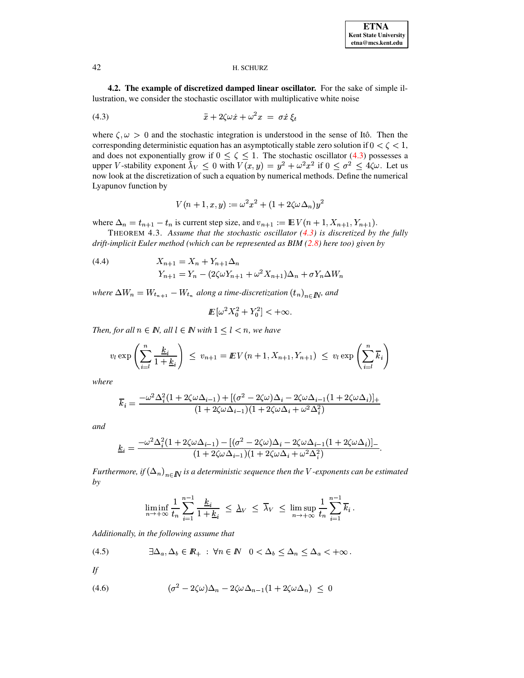4.2. The example of discretized damped linear oscillator. For the sake of simple illustration, we consider the stochastic oscillator with multiplicative white noise

<span id="page-15-0"></span>
$$
(4.3) \t\t\t\t\t\ddot{x} + 2\zeta\omega\dot{x} + \omega^2 x = \sigma \dot{x} \, \xi_t
$$

where  $\zeta, \omega > 0$  and the stochastic integration is understood in the sense of Itô. Then the corresponding deterministic equation has an asymptotically stable zero solution if  $0 < \zeta < 1$ , and does not exponentially grow if  $0 \le \zeta \le 1$ . The stochastic oscillator (4.3) possesses a upper V-stability exponent  $\bar{\lambda}_V \leq 0$  with  $V(x, y) = y^2 + \omega^2 x^2$  if  $0 \leq \sigma^2 \leq 4\zeta\omega$ . Let us now look at the discretization of such a equation by numerical methods. Define the numerical Lyapunov function by

$$
V(n + 1, x, y) := \omega^{2} x^{2} + (1 + 2\zeta \omega \Delta_{n}) y^{2}
$$

where  $\Delta_n = t_{n+1} - t_n$  is current step size, and  $v_{n+1} := \mathbb{E} V(n+1, X_{n+1}, Y_{n+1}).$ 

THEOREM 4.3. Assume that the stochastic oscillator  $(4.3)$  is discretized by the fully drift-implicit Euler method (which can be represented as  $BIM(2.8)$  here too) given by

<span id="page-15-1"></span>(4.4) 
$$
X_{n+1} = X_n + Y_{n+1} \Delta_n
$$

$$
Y_{n+1} = Y_n - (2\zeta\omega Y_{n+1} + \omega^2 X_{n+1}) \Delta_n + \sigma Y_n \Delta W_n
$$

where  $\Delta W_n = W_{t_{n+1}} - W_{t_n}$  along a time-discretization  $(t_n)_{n \in \mathbb{N}}$ , and

$$
I\!\!E\left[\omega^2 X_0^2 + Y_0^2\right] < +\infty.
$$

Then, for all  $n \in \mathbb{N}$ , all  $l \in \mathbb{N}$  with  $1 \leq l < n$ , we have

$$
v_l \exp\left(\sum_{i=l}^n \frac{\underline{k}_i}{1+\underline{k}_i}\right) \leq v_{n+1} = \underline{E} V(n+1, X_{n+1}, Y_{n+1}) \leq v_l \exp\left(\sum_{i=l}^n \overline{k}_i\right)
$$

where

$$
\overline{k}_i = \frac{-\omega^2 \Delta_i^2 (1 + 2\zeta \omega \Delta_{i-1}) + [(\sigma^2 - 2\zeta \omega) \Delta_i - 2\zeta \omega \Delta_{i-1} (1 + 2\zeta \omega \Delta_i)]_+}{(1 + 2\zeta \omega \Delta_{i-1}) (1 + 2\zeta \omega \Delta_i + \omega^2 \Delta_i^2)}
$$

and

$$
\underline{k}_i = \frac{-\omega^2 \Delta_i^2 (1 + 2\zeta \omega \Delta_{i-1}) - [(\sigma^2 - 2\zeta \omega) \Delta_i - 2\zeta \omega \Delta_{i-1} (1 + 2\zeta \omega \Delta_i)]}{(1 + 2\zeta \omega \Delta_{i-1}) (1 + 2\zeta \omega \Delta_i + \omega^2 \Delta_i^2)}
$$

Furthermore, if  $(\Delta_n)_{n\in\mathbb{N}}$  is a deterministic sequence then the V-exponents can be estimated by

$$
\liminf_{n \to +\infty} \frac{1}{t_n} \sum_{i=1}^{n-1} \frac{\underline{k}_i}{1 + \underline{k}_i} \leq \lambda_V \leq \overline{\lambda}_V \leq \limsup_{n \to +\infty} \frac{1}{t_n} \sum_{i=1}^{n-1} \overline{k}_i.
$$

Additionally, in the following assume that

<span id="page-15-2"></span>
$$
(4.5) \qquad \qquad \exists \Delta_a, \Delta_b \in I\!\!R_+ \; : \; \forall n \in I\!\!N \quad 0 < \Delta_b \le \Delta_n \le \Delta_a < +\infty \, .
$$

If

$$
(4.6) \qquad \qquad (\sigma^2 - 2\zeta\omega)\Delta_n - 2\zeta\omega\Delta_{n-1}(1 + 2\zeta\omega\Delta_n) \leq 0
$$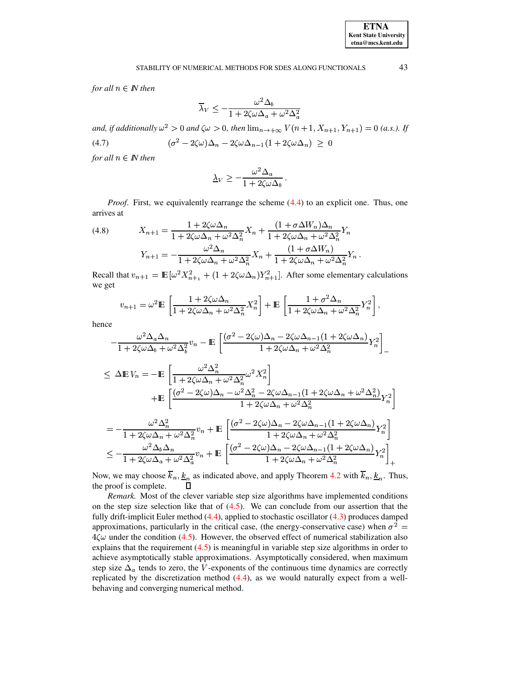for all  $n \in \mathbb{N}$  then

$$
\overline{\lambda}_V \le -\frac{\omega^2 \Delta_b}{1 + 2\zeta \omega \Delta_a + \omega^2 \Delta_a^2}
$$

and, if additionally  $\omega^2 > 0$  and  $\zeta \omega > 0$ , then  $\lim_{n \to \infty} V(n+1, X_{n+1}, Y_{n+1}) = 0$  (a.s.). If  $(\sigma^2 - 2\zeta\omega)\Delta_n - 2\zeta\omega\Delta_{n-1}(1 + 2\zeta\omega\Delta_n) \geq 0$  $(4.7)$ 

for all  $n \in \mathbb{N}$  then

$$
\underline{\lambda}_V \ge -\frac{\omega^2 \Delta_a}{1 + 2\zeta \omega \Delta_b} \, .
$$

*Proof.* First, we equivalently rearrange the scheme  $(4.4)$  to an explicit one. Thus, one arrives at  $\sim$ 

(4.8) 
$$
X_{n+1} = \frac{1 + 2\zeta\omega\Delta_n}{1 + 2\zeta\omega\Delta_n + \omega^2\Delta_n^2} X_n + \frac{(1 + \sigma\Delta W_n)\Delta_n}{1 + 2\zeta\omega\Delta_n + \omega^2\Delta_n^2} Y_n
$$

$$
Y_{n+1} = -\frac{\omega^2\Delta_n}{1 + 2\zeta\omega\Delta_n + \omega^2\Delta_n^2} X_n + \frac{(1 + \sigma\Delta W_n)}{1 + 2\zeta\omega\Delta_n + \omega^2\Delta_n^2} Y_n.
$$

Recall that  $v_{n+1} = \mathbb{E}[\omega^2 X_{n+1}^2 + (1 + 2\zeta\omega\Delta_n)Y_{n+1}^2]$ . After some elementary calculations we get

$$
v_{n+1} = \omega^2 \mathbb{E} \left[ \frac{1 + 2\zeta \omega \Delta_n}{1 + 2\zeta \omega \Delta_n + \omega^2 \Delta_n^2} X_n^2 \right] + \mathbb{E} \left[ \frac{1 + \sigma^2 \Delta_n}{1 + 2\zeta \omega \Delta_n + \omega^2 \Delta_n^2} Y_n^2 \right],
$$

hence

$$
-\frac{\omega^2 \Delta_a \Delta_n}{1 + 2\zeta \omega \Delta_b + \omega^2 \Delta_b^2} v_n - \mathbb{E}\left[\frac{(\sigma^2 - 2\zeta \omega) \Delta_n - 2\zeta \omega \Delta_{n-1} (1 + 2\zeta \omega \Delta_n)}{1 + 2\zeta \omega \Delta_n + \omega^2 \Delta_n^2} Y_n^2\right]_-
$$

$$
\leq \Delta \mathbf{E} V_n = -\mathbf{E} \left[ \frac{\omega^2 \Delta_n^2}{1 + 2\zeta \omega \Delta_n + \omega^2 \Delta_n^2} \omega^2 X_n^2 \right]
$$
  
+
$$
\mathbf{E} \left[ \frac{(\sigma^2 - 2\zeta \omega) \Delta_n - \omega^2 \Delta_n^2 - 2\zeta \omega \Delta_{n-1} (1 + 2\zeta \omega \Delta_n + \omega^2 \Delta_n^2)}{1 + 2\zeta \omega \Delta_n + \omega^2 \Delta_n^2} Y_n^2 \right]
$$
  
= 
$$
-\frac{\omega^2 \Delta_n^2}{1 + 2\zeta \omega \Delta_n + \omega^2 \Delta_n^2} v_n + \mathbf{E} \left[ \frac{(\sigma^2 - 2\zeta \omega) \Delta_n - 2\zeta \omega \Delta_{n-1} (1 + 2\zeta \omega \Delta_n)}{1 + 2\zeta \omega \Delta_n + \omega^2 \Delta_n^2} Y_n^2 \right]
$$
  

$$
\leq -\frac{\omega^2 \Delta_b \Delta_n}{1 + 2\zeta \omega \Delta_a + \omega^2 \Delta_a^2} v_n + \mathbf{E} \left[ \frac{(\sigma^2 - 2\zeta \omega) \Delta_n - 2\zeta \omega \Delta_{n-1} (1 + 2\zeta \omega \Delta_n)}{1 + 2\zeta \omega \Delta_n + \omega^2 \Delta_n^2} Y_n^2 \right]_+
$$

Now, we may choose  $\overline{k}_n, \underline{k}_n$  as indicated above, and apply Theorem 4.2 with  $\overline{k}_n, \underline{k}_n$ . Thus, the proof is complete.  $\Box$ 

Remark. Most of the clever variable step size algorithms have implemented conditions on the step size selection like that of  $(4.5)$ . We can conclude from our assertion that the fully drift-implicit Euler method  $(4.4)$ , applied to stochastic oscillator  $(4.3)$  produces damped approximations, particularly in the critical case, (the energy-conservative case) when  $\sigma^2$  =  $4\zeta\omega$  under the condition (4.5). However, the observed effect of numerical stabilization also explains that the requirement  $(4.5)$  is meaningful in variable step size algorithms in order to achieve asymptotically stable approximations. Asymptotically considered, when maximum step size  $\Delta_a$  tends to zero, the V-exponents of the continuous time dynamics are correctly replicated by the discretization method  $(4.4)$ , as we would naturally expect from a wellbehaving and converging numerical method.

43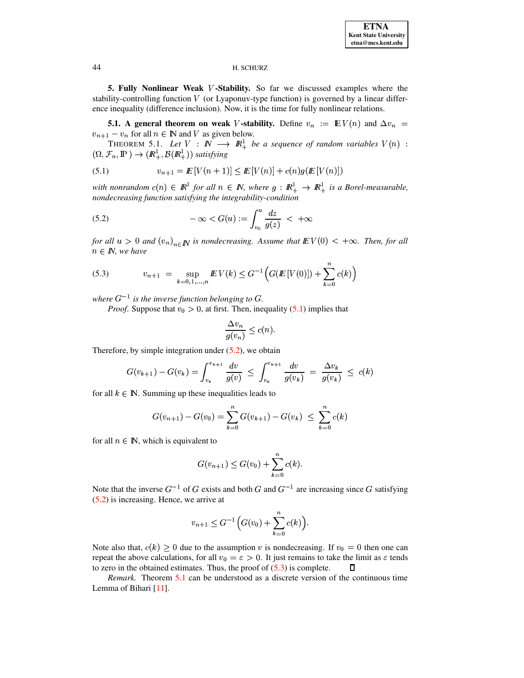5. Fully Nonlinear Weak V-Stability. So far we discussed examples where the stability-controlling function  $V$  (or Lyaponuv-type function) is governed by a linear difference inequality (difference inclusion). Now, it is the time for fully nonlinear relations.

<span id="page-17-3"></span>**5.1.** A general theorem on weak V-stability. Define  $v_n := \mathbb{E} V(n)$  and  $\Delta v_n =$  $v_{n+1} - v_n$  for all  $n \in \mathbb{N}$  and V as given below.

THEOREM 5.1. Let  $V : \mathbb{N} \longrightarrow \mathbb{R}^1_+$  be a sequence of random variables  $V(n)$ :  $(\Omega, \mathcal{F}_n, \mathbb{P}) \to (\mathbb{R}^1_+, \mathcal{B}(\mathbb{R}^1_+))$  satisfying

<span id="page-17-0"></span>(5.1) 
$$
v_{n+1} = \mathbb{E}[V(n+1)] \leq \mathbb{E}[V(n)] + c(n)g(\mathbb{E}[V(n)])
$$

with nonrandom  $c(n) \in \mathbb{R}^1$  for all  $n \in \mathbb{N}$ , where  $g: \mathbb{R}^1_+ \to \mathbb{R}^1_+$  is a Borel-measurable, nondecreasing function satisfying the integrability-condition

<span id="page-17-1"></span>(5.2) 
$$
-\infty < G(u) := \int_{v_0}^{u} \frac{dz}{g(z)} < +\infty
$$

for all  $u > 0$  and  $(v_n)_{n \in \mathbb{N}}$  is nondecreasing. Assume that  $EV(0) < +\infty$ . Then, for all  $n \in \mathbb{N}$ , we have

<span id="page-17-2"></span>(5.3) 
$$
v_{n+1} = \sup_{k=0,1,\dots,n} E V(k) \leq G^{-1} \Big( G(E[V(0)]) + \sum_{k=0}^{n} c(k) \Big)
$$

where  $G^{-1}$  is the inverse function belonging to G.

*Proof.* Suppose that  $v_0 > 0$ , at first. Then, inequality (5.1) implies that

$$
\frac{\Delta v_n}{g(v_n)} \le c(n)
$$

Therefore, by simple integration under  $(5.2)$ , we obtain

$$
G(v_{k+1}) - G(v_k) = \int_{v_k}^{v_{k+1}} \frac{dv}{g(v)} \le \int_{v_k}^{v_{k+1}} \frac{dv}{g(v_k)} = \frac{\Delta v_k}{g(v_k)} \le c(k)
$$

for all  $k \in \mathbb{N}$ . Summing up these inequalities leads to

$$
G(v_{n+1}) - G(v_0) = \sum_{k=0}^{n} G(v_{k+1}) - G(v_k) \leq \sum_{k=0}^{n} c(k)
$$

for all  $n \in \mathbb{N}$ , which is equivalent to

$$
G(v_{n+1}) \le G(v_0) + \sum_{k=0}^{n} c(k).
$$

Note that the inverse  $G^{-1}$  of G exists and both G and  $G^{-1}$  are increasing since G satisfying  $(5.2)$  is increasing. Hence, we arrive at

$$
v_{n+1} \le G^{-1} \Big( G(v_0) + \sum_{k=0}^{n} c(k) \Big).
$$

Note also that,  $c(k) \geq 0$  due to the assumption v is nondecreasing. If  $v_0 = 0$  then one can repeat the above calculations, for all  $v_0 = \epsilon > 0$ . It just remains to take the limit as  $\epsilon$  tends to zero in the obtained estimates. Thus, the proof of  $(5.3)$  is complete. Л

Remark. Theorem 5.1 can be understood as a discrete version of the continuous time Lemma of Bihari [11].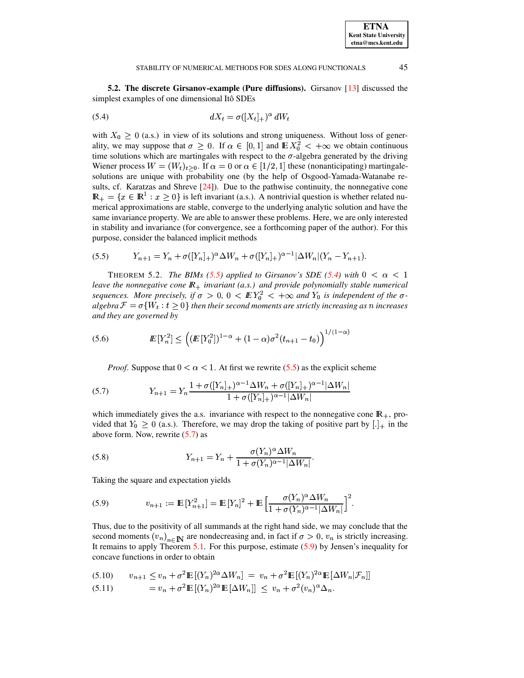#### <span id="page-18-1"></span>STABILITY OF NUMERICAL METHODS FOR SDES ALONG FUNCTIONALS

5.2. The discrete Girsanov-example (Pure diffusions). Girsanov [13] discussed the simplest examples of one dimensional Itô SDEs

$$
dX_t = \sigma([X_t]_+)^\alpha dW_t
$$

with  $X_0 \geq 0$  (a.s.) in view of its solutions and strong uniqueness. Without loss of generality, we may suppose that  $\sigma \geq 0$ . If  $\alpha \in [0,1]$  and  $\mathbb{E} X_0^2 < +\infty$  we obtain continuous time solutions which are martingales with respect to the  $\sigma$ -algebra generated by the driving Wiener process  $W = (W_t)_{t>0}$ . If  $\alpha = 0$  or  $\alpha \in [1/2, 1]$  these (nonanticipating) martingalesolutions are unique with probability one (by the help of Osgood-Yamada-Watanabe results, cf. Karatzas and Shreve  $[24]$ ). Due to the pathwise continuity, the nonnegative cone  $\mathbb{R}_+ = \{x \in \mathbb{R}^1 : x \geq 0\}$  is left invariant (a.s.). A nontrivial question is whether related numerical approximations are stable, converge to the underlying analytic solution and have the same invariance property. We are able to answer these problems. Here, we are only interested in stability and invariance (for convergence, see a forthcoming paper of the author). For this purpose, consider the balanced implicit methods

<span id="page-18-0"></span>
$$
(5.5) \t Y_{n+1} = Y_n + \sigma([Y_n]_+)^\alpha \Delta W_n + \sigma([Y_n]_+)^\alpha \Delta W_n | (Y_n - Y_{n+1}).
$$

<span id="page-18-5"></span>THEOREM 5.2. The BIMs (5.5) applied to Girsanov's SDE (5.4) with  $0 < \alpha < 1$ leave the nonnegative cone  $\mathbb{R}_+$  invariant (a.s.) and provide polynomially stable numerical sequences. More precisely, if  $\sigma > 0$ ,  $0 < EY_0^2 < +\infty$  and  $Y_0$  is independent of the  $\sigma$ algebra  $\mathcal{F} = \sigma\{W_t : t \geq 0\}$  then their second moments are strictly increasing as n increases and they are governed by

<span id="page-18-4"></span>(5.6) 
$$
I\!\!E[Y_n^2] \leq \left( (I\!\!E[Y_0^2])^{1-\alpha} + (1-\alpha)\sigma^2(t_{n+1}-t_0) \right)^{1/(1-\alpha)}
$$

*Proof.* Suppose that  $0 < \alpha < 1$ . At first we rewrite (5.5) as the explicit scheme

<span id="page-18-2"></span>(5.7) 
$$
Y_{n+1} = Y_n \frac{1 + \sigma([Y_n]_+)^{\alpha - 1} \Delta W_n + \sigma([Y_n]_+)^{\alpha - 1} |\Delta W_n|}{1 + \sigma([Y_n]_+)^{\alpha - 1} |\Delta W_n|}
$$

which immediately gives the a.s. invariance with respect to the nonnegative cone  $\mathbb{R}_+$ , provided that  $Y_0 \ge 0$  (a.s.). Therefore, we may drop the taking of positive part by  $[.]_+$  in the above form. Now, rewrite  $(5.7)$  as

(5.8) 
$$
Y_{n+1} = Y_n + \frac{\sigma(Y_n)^{\alpha} \Delta W_n}{1 + \sigma(Y_n)^{\alpha - 1} |\Delta W_n|}.
$$

Taking the square and expectation yields

<span id="page-18-3"></span>(5.9) 
$$
v_{n+1} := \mathbb{E}[Y_{n+1}^2] = \mathbb{E}[Y_n]^2 + \mathbb{E}\left[\frac{\sigma(Y_n)^{\alpha} \Delta W_n}{1 + \sigma(Y_n)^{\alpha-1}|\Delta W_n|}\right]^2.
$$

Thus, due to the positivity of all summands at the right hand side, we may conclude that the second moments  $(v_n)_{n \in \mathbb{N}}$  are nondecreasing and, in fact if  $\sigma > 0$ ,  $v_n$  is strictly increasing. It remains to apply Theorem 5.1. For this purpose, estimate  $(5.9)$  by Jensen's inequality for concave functions in order to obtain

$$
(5.10) \qquad v_{n+1} \le v_n + \sigma^2 \mathbb{E}[(Y_n)^{2\alpha} \Delta W_n] = v_n + \sigma^2 \mathbb{E}[(Y_n)^{2\alpha} \mathbb{E}[\Delta W_n | \mathcal{F}_n]]
$$

$$
(5.11) \t\t = v_n + \sigma^2 \mathbb{E}[(Y_n)^{2\alpha} \mathbb{E}[\Delta W_n]] \leq v_n + \sigma^2 (v_n)^{\alpha} \Delta_n.
$$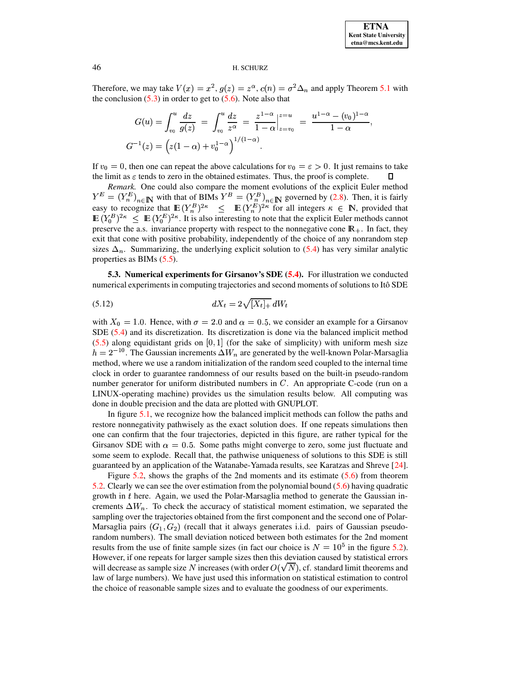Therefore, we may take  $V(x) = x^2$ ,  $g(z) = z^{\alpha}$ ,  $c(n) = \sigma^2 \Delta_n$  and apply Theorem 5.1 with the conclusion  $(5.3)$  in order to get to  $(5.6)$ . Note also that

$$
G(u) = \int_{v_0}^{u} \frac{dz}{g(z)} = \int_{v_0}^{u} \frac{dz}{z^{\alpha}} = \frac{z^{1-\alpha}}{1-\alpha} \Big|_{z=v_0}^{z=u} = \frac{u^{1-\alpha} - (v_0)^{1-\alpha}}{1-\alpha}
$$

$$
G^{-1}(z) = \left(z(1-\alpha) + v_0^{1-\alpha}\right)^{1/(1-\alpha)}.
$$

If  $v_0 = 0$ , then one can repeat the above calculations for  $v_0 = \epsilon > 0$ . It just remains to take the limit as  $\varepsilon$  tends to zero in the obtained estimates. Thus, the proof is complete. Л

Remark. One could also compare the moment evolutions of the explicit Euler method  $Y^E = (Y_n^E)_{n \in \mathbb{N}}$  with that of BIMs  $Y^B = (Y_n^B)_{n \in \mathbb{N}}$  governed by (2.8). Then, it is fairly<br>easy to recognize that  $\mathbb{E} (Y_n^B)^{2\kappa} \leq \mathbb{E} (Y_n^E)^{2\kappa}$  for all integers  $\kappa \in \mathbb{N}$ , provided that<br> $\mathbb{E} ($ preserve the a.s. invariance property with respect to the nonnegative cone  $\mathbb{R}_+$ . In fact, they exit that cone with positive probability, independently of the choice of any nonrandom step sizes  $\Delta_n$ . Summarizing, the underlying explicit solution to (5.4) has very similar analytic properties as BIMs  $(5.5)$ .

**5.3. Numerical experiments for Girsanov's SDE (5.4).** For illustration we conducted numerical experiments in computing trajectories and second moments of solutions to Itô SDE

<span id="page-19-0"></span>
$$
dX_t = 2\sqrt{[X_t]_+} \, dW_t
$$

with  $X_0 = 1.0$ . Hence, with  $\sigma = 2.0$  and  $\alpha = 0.5$ , we consider an example for a Girsanov SDE  $(5.4)$  and its discretization. Its discretization is done via the balanced implicit method  $(5.5)$  along equidistant grids on [0, 1] (for the sake of simplicity) with uniform mesh size  $h = 2^{-10}$ . The Gaussian increments  $\Delta W_n$  are generated by the well-known Polar-Marsaglia method, where we use a random initialization of the random seed coupled to the internal time clock in order to guarantee randomness of our results based on the built-in pseudo-random number generator for uniform distributed numbers in  $C$ . An appropriate C-code (run on a LINUX-operating machine) provides us the simulation results below. All computing was done in double precision and the data are plotted with GNUPLOT.

In figure 5.1, we recognize how the balanced implicit methods can follow the paths and restore nonnegativity pathwisely as the exact solution does. If one repeats simulations then one can confirm that the four trajectories, depicted in this figure, are rather typical for the Girsanov SDE with  $\alpha = 0.5$ . Some paths might converge to zero, some just fluctuate and some seem to explode. Recall that, the pathwise uniqueness of solutions to this SDE is still guaranteed by an application of the Watanabe-Yamada results, see Karatzas and Shreve [24].

Figure 5.2, shows the graphs of the 2nd moments and its estimate  $(5.6)$  from theorem 5.2. Clearly we can see the over estimation from the polynomial bound  $(5.6)$  having quadratic growth in  $t$  here. Again, we used the Polar-Marsaglia method to generate the Gaussian increments  $\Delta W_n$ . To check the accuracy of statistical moment estimation, we separated the sampling over the trajectories obtained from the first component and the second one of Polar-Marsaglia pairs  $(G_1, G_2)$  (recall that it always generates i.i.d. pairs of Gaussian pseudorandom numbers). The small deviation noticed between both estimates for the 2nd moment results from the use of finite sample sizes (in fact our choice is  $N = 10^5$  in the figure 5.2). However, if one repeats for larger sample sizes then this deviation caused by statistical errors will decrease as sample size N increases (with order  $O(\sqrt{N})$ , cf. standard limit theorems and law of large numbers). We have just used this information on statistical estimation to control the choice of reasonable sample sizes and to evaluate the goodness of our experiments.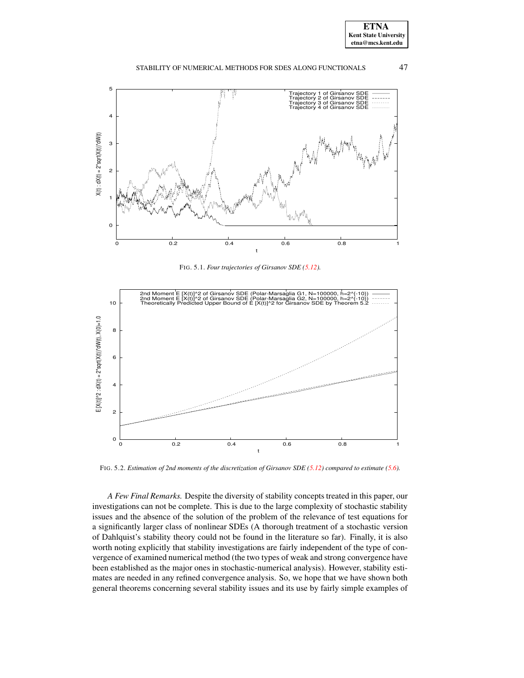



<span id="page-20-0"></span>FIG. 5.1. *Four trajectories of Girsanov SDE [\(5.12\)](#page-19-0).*



FIG. 5.2. *Estimation of 2nd moments of the discretization of Girsanov SDE [\(5.12\)](#page-19-0) compared to estimate [\(5.6\)](#page-18-4).*

<span id="page-20-1"></span>*A Few Final Remarks.* Despite the diversity of stability concepts treated in this paper, our investigations can not be complete. This is due to the large complexity of stochastic stability issues and the absence of the solution of the problem of the relevance of test equations for a significantly larger class of nonlinear SDEs (A thorough treatment of a stochastic version of Dahlquist's stability theory could not be found in the literature so far). Finally, it is also worth noting explicitly that stability investigations are fairly independent of the type of convergence of examined numerical method (the two types of weak and strong convergence have been established as the major ones in stochastic-numerical analysis). However, stability estimates are needed in any refined convergence analysis. So, we hope that we have shown both general theorems concerning several stability issues and its use by fairly simple examples of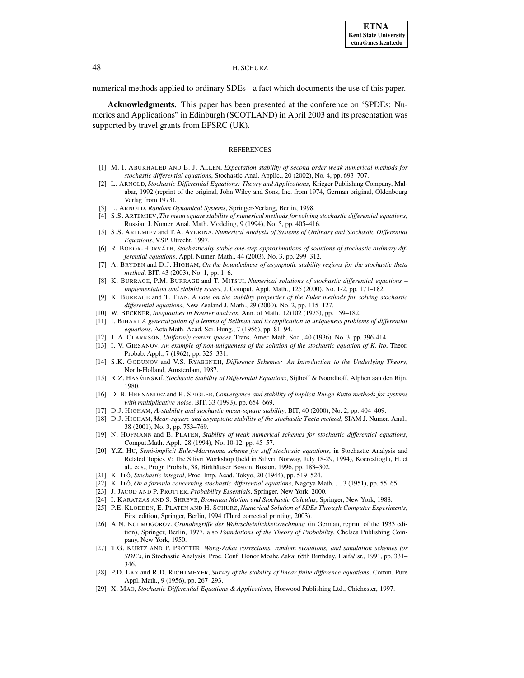numerical methods applied to ordinary SDEs - a fact which documents the use of this paper.

**Acknowledgments.** This paper has been presented at the conference on 'SPDEs: Numerics and Applications" in Edinburgh (SCOTLAND) in April 2003 and its presentation was supported by travel grants from EPSRC (UK).

### **REFERENCES**

- <span id="page-21-12"></span><span id="page-21-0"></span>[1] M. I. ABUKHALED AND E. J. ALLEN, *Expectation stability of second order weak numerical methods for stochastic differential equations*, Stochastic Anal. Applic., 20 (2002), No. 4, pp. 693–707.
- [2] L. ARNOLD, *Stochastic Differential Equations: Theory and Applications*, Krieger Publishing Company, Malabar, 1992 (reprint of the original, John Wiley and Sons, Inc. from 1974, German original, Oldenbourg Verlag from 1973).
- <span id="page-21-4"></span><span id="page-21-1"></span>[3] L. ARNOLD, *Random Dynamical Systems*, Springer-Verlang, Berlin, 1998.
- [4] S.S. ARTEMIEV, *The mean square stability of numerical methods for solving stochastic differential equations*, Russian J. Numer. Anal. Math. Modeling, 9 (1994), No. 5, pp. 405–416.
- <span id="page-21-10"></span><span id="page-21-3"></span>[5] S.S. ARTEMIEV and T.A. AVERINA, *Numerical Analysis of Systems of Ordinary and Stochastic Differential Equations*, VSP, Utrecht, 1997.
- [6] R. BOKOR-HORVA´ TH, *Stochastically stable one-step approximations of solutions of stochastic ordinary differential equations*, Appl. Numer. Math., 44 (2003), No. 3, pp. 299–312.
- <span id="page-21-11"></span>[7] A. BRYDEN and D.J. HIGHAM, *On the boundedness of asymptotic stability regions for the stochastic theta method*, BIT, 43 (2003), No. 1, pp. 1–6.
- <span id="page-21-5"></span>[8] K. BURRAGE, P.M. BURRAGE and T. MITSUI, *Numerical solutions of stochastic differential equations – implementation and stability issues*, J. Comput. Appl. Math., 125 (2000), No. 1-2, pp. 171–182.
- <span id="page-21-6"></span>[9] K. BURRAGE and T. TIAN, *A note on the stability properties of the Euler methods for solving stochastic differential equations*, New Zealand J. Math., 29 (2000), No. 2, pp. 115–127.
- <span id="page-21-18"></span><span id="page-21-17"></span>[10] W. BECKNER, *Inequalities in Fourier analysis*, Ann. of Math., (2)102 (1975), pp. 159–182.
- [11] I. BIHARI, *A generalization of a lemma of Bellman and its application to uniqueness problems of differential equations*, Acta Math. Acad. Sci. Hung., 7 (1956), pp. 81–94.
- <span id="page-21-19"></span><span id="page-21-16"></span>[12] J. A. CLARKSON, *Uniformly convex spaces*, Trans. Amer. Math. Soc., 40 (1936), No. 3, pp. 396-414.
- [13] I. V. GIRSANOV, *An example of non-uniqueness of the solution of the stochastic equation of K. Ito*, Theor.
- <span id="page-21-2"></span>Probab. Appl., 7 (1962), pp. 325–331. [14] S.K. GODUNOV and V.S. RYABENKII, *Difference Schemes: An Introduction to the Underlying Theory*, North-Holland, Amsterdam, 1987.
- <span id="page-21-14"></span>[15] R.Z. HASMINSKII, *Stochastic Stability of Differential Equations*, Sijthoff & Noordhoff, Alphen aan den Rijn, 1980.
- <span id="page-21-7"></span>[16] D. B. HERNANDEZ and R. SPIGLER, *Convergence and stability of implicit Runge-Kutta methods for systems with multiplicative noise*, BIT, 33 (1993), pp. 654–669.
- <span id="page-21-9"></span><span id="page-21-8"></span>[17] D.J. HIGHAM, <sup>t</sup>*-stability and stochastic mean-square stability*, BIT, 40 (2000), No. 2, pp. 404–409.
- [18] D.J. HIGHAM, *Mean-square and asymptotic stability of the stochastic Theta method*, SIAM J. Numer. Anal., 38 (2001), No. 3, pp. 753–769.
- <span id="page-21-13"></span>[19] N. HOFMANN and E. PLATEN, *Stability of weak numerical schemes for stochastic differential equations*, Comput.Math. Appl., 28 (1994), No. 10-12, pp. 45–57.
- [20] Y.Z. HU, *Semi-implicit Euler-Maruyama scheme for stiff stochastic equations*, in Stochastic Analysis and Related Topics V: The Silivri Workshop (held in Silivri, Norway, July 18-29, 1994), Koerezlioglu, H. et al., eds., Progr. Probab., 38, Birkhäuser Boston, Boston, 1996, pp. 183-302.
- [21] K. ITOˆ, *Stochastic integral*, Proc. Imp. Acad. Tokyo, 20 (1944), pp. 519–524.
- [22] K. ITOˆ, *On a formula concerning stochastic differential equations*, Nagoya Math. J., 3 (1951), pp. 55–65.
- <span id="page-21-20"></span>[23] J. JACOD AND P. PROTTER, *Probability Essentials*, Springer, New York, 2000.
- [24] I. KARATZAS AND S. SHREVE, *Brownian Motion and Stochastic Calculus*, Springer, New York, 1988.
- [25] P.E. KLOEDEN, E. PLATEN AND H. SCHURZ, *Numerical Solution of SDEs Through Computer Experiments*, First edition, Springer, Berlin, 1994 (Third corrected printing, 2003).
- [26] A.N. KOLMOGOROV, *Grundbegriffe der Wahrscheinlichkeitsrechnung* (in German, reprint of the 1933 edition), Springer, Berlin, 1977, also *Foundations of the Theory of Probability*, Chelsea Publishing Company, New York, 1950.
- [27] T.G. KURTZ AND P. PROTTER, *Wong-Zakai corrections, random evolutions, and simulation schemes for SDE's*, in Stochastic Analysis, Proc. Conf. Honor Moshe Zakai 65th Birthday, Haifa/Isr., 1991, pp. 331– 346.
- [28] P.D. LAX and R.D. RICHTMEYER, *Survey of the stability of linear finite difference equations*, Comm. Pure Appl. Math., 9 (1956), pp. 267–293.
- <span id="page-21-15"></span>[29] X. MAO, *Stochastic Differential Equations & Applications*, Horwood Publishing Ltd., Chichester, 1997.